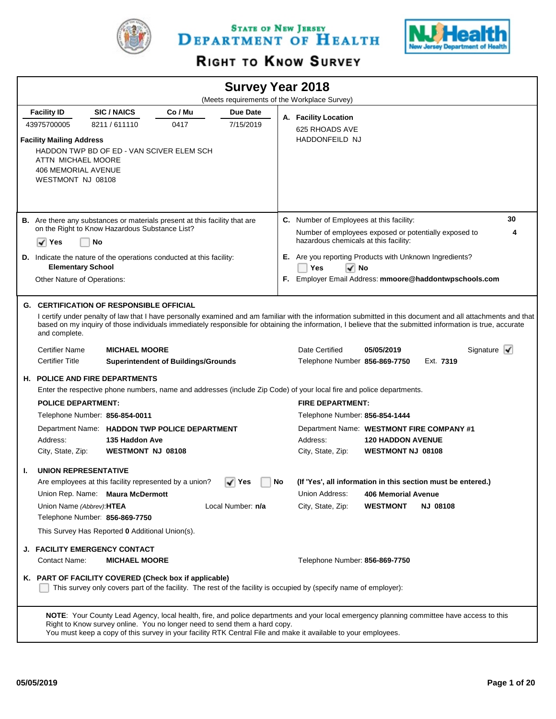

STATE OF NEW JERSEY DEPARTMENT OF HEALTH



# RIGHT TO KNOW SURVEY

|                                                                                                          |                                                                                      |                                            | <b>Survey Year 2018</b> |           | (Meets requirements of the Workplace Survey)                                                                                                                                                                                                                |                                               |                 |                                                                                                                                                             |
|----------------------------------------------------------------------------------------------------------|--------------------------------------------------------------------------------------|--------------------------------------------|-------------------------|-----------|-------------------------------------------------------------------------------------------------------------------------------------------------------------------------------------------------------------------------------------------------------------|-----------------------------------------------|-----------------|-------------------------------------------------------------------------------------------------------------------------------------------------------------|
| <b>Facility ID</b>                                                                                       | <b>SIC/NAICS</b>                                                                     | Co / Mu                                    | Due Date                |           |                                                                                                                                                                                                                                                             |                                               |                 |                                                                                                                                                             |
| 43975700005                                                                                              | 8211/611110                                                                          | 0417                                       | 7/15/2019               |           | A. Facility Location<br>625 RHOADS AVE                                                                                                                                                                                                                      |                                               |                 |                                                                                                                                                             |
| <b>Facility Mailing Address</b><br>ATTN MICHAEL MOORE<br><b>406 MEMORIAL AVENUE</b><br>WESTMONT NJ 08108 | HADDON TWP BD OF ED - VAN SCIVER ELEM SCH                                            |                                            |                         |           | <b>HADDONFEILD NJ</b>                                                                                                                                                                                                                                       |                                               |                 |                                                                                                                                                             |
|                                                                                                          | <b>B.</b> Are there any substances or materials present at this facility that are    |                                            |                         |           | C. Number of Employees at this facility:                                                                                                                                                                                                                    |                                               |                 | 30                                                                                                                                                          |
| √<br>Yes                                                                                                 | on the Right to Know Hazardous Substance List?<br>No                                 |                                            |                         |           | Number of employees exposed or potentially exposed to<br>hazardous chemicals at this facility:                                                                                                                                                              |                                               |                 | 4                                                                                                                                                           |
|                                                                                                          | D. Indicate the nature of the operations conducted at this facility:                 |                                            |                         |           | E. Are you reporting Products with Unknown Ingredients?                                                                                                                                                                                                     |                                               |                 |                                                                                                                                                             |
| <b>Elementary School</b>                                                                                 |                                                                                      |                                            |                         |           | Yes<br>$\sqrt{ }$ No                                                                                                                                                                                                                                        |                                               |                 |                                                                                                                                                             |
| Other Nature of Operations:                                                                              |                                                                                      |                                            |                         |           | F. Employer Email Address: mmoore@haddontwpschools.com                                                                                                                                                                                                      |                                               |                 |                                                                                                                                                             |
| and complete.                                                                                            | <b>G. CERTIFICATION OF RESPONSIBLE OFFICIAL</b>                                      |                                            |                         |           | based on my inquiry of those individuals immediately responsible for obtaining the information, I believe that the submitted information is true, accurate                                                                                                  |                                               |                 | I certify under penalty of law that I have personally examined and am familiar with the information submitted in this document and all attachments and that |
| <b>Certifier Name</b>                                                                                    | <b>MICHAEL MOORE</b>                                                                 |                                            |                         |           | Date Certified                                                                                                                                                                                                                                              | 05/05/2019                                    |                 | Signature $\mathbf{V}$                                                                                                                                      |
| <b>Certifier Title</b>                                                                                   |                                                                                      | <b>Superintendent of Buildings/Grounds</b> |                         |           | Telephone Number 856-869-7750                                                                                                                                                                                                                               |                                               | Ext. 7319       |                                                                                                                                                             |
|                                                                                                          | <b>H. POLICE AND FIRE DEPARTMENTS</b>                                                |                                            |                         |           |                                                                                                                                                                                                                                                             |                                               |                 |                                                                                                                                                             |
|                                                                                                          |                                                                                      |                                            |                         |           | Enter the respective phone numbers, name and addresses (include Zip Code) of your local fire and police departments.                                                                                                                                        |                                               |                 |                                                                                                                                                             |
| <b>POLICE DEPARTMENT:</b>                                                                                |                                                                                      |                                            |                         |           | <b>FIRE DEPARTMENT:</b>                                                                                                                                                                                                                                     |                                               |                 |                                                                                                                                                             |
|                                                                                                          | Telephone Number: 856-854-0011                                                       |                                            |                         |           | Telephone Number: 856-854-1444                                                                                                                                                                                                                              |                                               |                 |                                                                                                                                                             |
| Address:<br>City, State, Zip:                                                                            | Department Name: HADDON TWP POLICE DEPARTMENT<br>135 Haddon Ave<br>WESTMONT NJ 08108 |                                            |                         |           | Department Name: WESTMONT FIRE COMPANY #1<br>Address:<br>City, State, Zip:                                                                                                                                                                                  | <b>120 HADDON AVENUE</b><br>WESTMONT NJ 08108 |                 |                                                                                                                                                             |
| <b>UNION REPRESENTATIVE</b><br>Т.                                                                        |                                                                                      |                                            |                         |           |                                                                                                                                                                                                                                                             |                                               |                 |                                                                                                                                                             |
|                                                                                                          | Are employees at this facility represented by a union?                               |                                            | ∣ Yes                   | <b>No</b> | (If 'Yes', all information in this section must be entered.)                                                                                                                                                                                                |                                               |                 |                                                                                                                                                             |
|                                                                                                          | Union Rep. Name: Maura McDermott                                                     |                                            |                         |           | Union Address:                                                                                                                                                                                                                                              | <b>406 Memorial Avenue</b>                    |                 |                                                                                                                                                             |
| Union Name (Abbrev): HTEA                                                                                |                                                                                      |                                            | Local Number: n/a       |           | City, State, Zip:                                                                                                                                                                                                                                           | <b>WESTMONT</b>                               | <b>NJ 08108</b> |                                                                                                                                                             |
|                                                                                                          | Telephone Number: 856-869-7750<br>This Survey Has Reported 0 Additional Union(s).    |                                            |                         |           |                                                                                                                                                                                                                                                             |                                               |                 |                                                                                                                                                             |
|                                                                                                          |                                                                                      |                                            |                         |           |                                                                                                                                                                                                                                                             |                                               |                 |                                                                                                                                                             |
|                                                                                                          | J. FACILITY EMERGENCY CONTACT                                                        |                                            |                         |           |                                                                                                                                                                                                                                                             |                                               |                 |                                                                                                                                                             |
| Contact Name:                                                                                            | <b>MICHAEL MOORE</b><br>K. PART OF FACILITY COVERED (Check box if applicable)        |                                            |                         |           | Telephone Number: 856-869-7750<br>This survey only covers part of the facility. The rest of the facility is occupied by (specify name of employer):                                                                                                         |                                               |                 |                                                                                                                                                             |
|                                                                                                          | Right to Know survey online. You no longer need to send them a hard copy.            |                                            |                         |           | NOTE: Your County Lead Agency, local health, fire, and police departments and your local emergency planning committee have access to this<br>You must keep a copy of this survey in your facility RTK Central File and make it available to your employees. |                                               |                 |                                                                                                                                                             |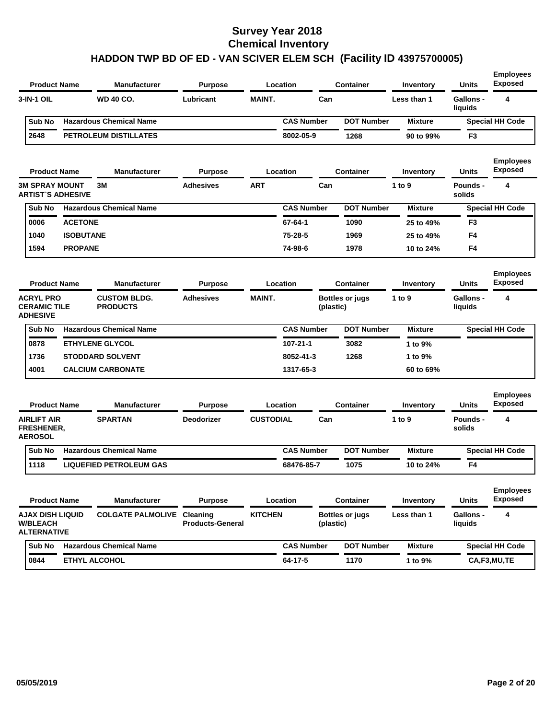| <b>Product Name</b>                                        |                  | <b>Manufacturer</b>                    | <b>Purpose</b>          |                  | Location          |           | <b>Container</b>       | Inventory      | <b>Units</b>                | <b>Employees</b><br><b>Exposed</b> |
|------------------------------------------------------------|------------------|----------------------------------------|-------------------------|------------------|-------------------|-----------|------------------------|----------------|-----------------------------|------------------------------------|
| 3-IN-1 OIL                                                 |                  | WD 40 CO.                              | Lubricant               | <b>MAINT.</b>    |                   | Can       |                        | Less than 1    | <b>Gallons -</b><br>liquids | 4                                  |
| Sub No                                                     |                  | <b>Hazardous Chemical Name</b>         |                         |                  | <b>CAS Number</b> |           | <b>DOT Number</b>      | <b>Mixture</b> |                             | <b>Special HH Code</b>             |
| 2648                                                       |                  | PETROLEUM DISTILLATES                  |                         |                  | 8002-05-9         |           | 1268                   | 90 to 99%      | F3                          |                                    |
| <b>Product Name</b>                                        |                  | <b>Manufacturer</b>                    | <b>Purpose</b>          |                  | Location          |           | <b>Container</b>       | Inventory      | <b>Units</b>                | <b>Employees</b><br><b>Exposed</b> |
| <b>3M SPRAY MOUNT</b><br><b>ARTIST'S ADHESIVE</b>          |                  | 3M                                     | <b>Adhesives</b>        | <b>ART</b>       |                   | Can       |                        | 1 to 9         | Pounds -<br>solids          | 4                                  |
| Sub No                                                     |                  | <b>Hazardous Chemical Name</b>         |                         |                  | <b>CAS Number</b> |           | <b>DOT Number</b>      | <b>Mixture</b> |                             | <b>Special HH Code</b>             |
| 0006                                                       | <b>ACETONE</b>   |                                        |                         |                  | $67 - 64 - 1$     |           | 1090                   | 25 to 49%      | F3                          |                                    |
| 1040                                                       | <b>ISOBUTANE</b> |                                        |                         |                  | 75-28-5           |           | 1969                   | 25 to 49%      | F <sub>4</sub>              |                                    |
| 1594                                                       | <b>PROPANE</b>   |                                        |                         |                  | 74-98-6           |           | 1978                   | 10 to 24%      | F4                          |                                    |
| <b>Product Name</b>                                        |                  | <b>Manufacturer</b>                    | <b>Purpose</b>          |                  | Location          |           | <b>Container</b>       | Inventory      | <b>Units</b>                | <b>Employees</b><br><b>Exposed</b> |
| <b>ACRYL PRO</b><br><b>CERAMIC TILE</b><br><b>ADHESIVE</b> |                  | <b>CUSTOM BLDG.</b><br><b>PRODUCTS</b> | <b>Adhesives</b>        | <b>MAINT.</b>    |                   | (plastic) | <b>Bottles or jugs</b> | 1 to 9         | Gallons -<br>liquids        | 4                                  |
| Sub No                                                     |                  | <b>Hazardous Chemical Name</b>         |                         |                  | <b>CAS Number</b> |           | <b>DOT Number</b>      | <b>Mixture</b> |                             | <b>Special HH Code</b>             |
| 0878                                                       |                  | <b>ETHYLENE GLYCOL</b>                 |                         |                  | 107-21-1          |           | 3082                   | 1 to 9%        |                             |                                    |
| 1736                                                       |                  | <b>STODDARD SOLVENT</b>                |                         |                  | 8052-41-3         |           | 1268                   | 1 to 9%        |                             |                                    |
| 4001                                                       |                  | <b>CALCIUM CARBONATE</b>               |                         |                  | 1317-65-3         |           |                        | 60 to 69%      |                             |                                    |
| <b>Product Name</b>                                        |                  | Manufacturer                           | <b>Purpose</b>          |                  | Location          |           | <b>Container</b>       | Inventory      | <b>Units</b>                | <b>Employees</b><br><b>Exposed</b> |
| <b>AIRLIFT AIR</b><br><b>FRESHENER,</b><br><b>AEROSOL</b>  |                  | <b>SPARTAN</b>                         | <b>Deodorizer</b>       | <b>CUSTODIAL</b> |                   | Can       |                        | 1 to 9         | <b>Pounds -</b><br>solids   | 4                                  |
| Sub No                                                     |                  | <b>Hazardous Chemical Name</b>         |                         |                  | <b>CAS Number</b> |           | <b>DOT Number</b>      | <b>Mixture</b> |                             | <b>Special HH Code</b>             |
| 1118                                                       |                  | <b>LIQUEFIED PETROLEUM GAS</b>         |                         |                  | 68476-85-7        |           | 1075                   | 10 to 24%      | F4                          |                                    |
| <b>Product Name</b>                                        |                  | <b>Manufacturer</b>                    | <b>Purpose</b>          |                  | Location          |           | <b>Container</b>       | Inventory      | Units                       | <b>Employees</b><br><b>Exposed</b> |
| AJAX DISH LIQUID<br><b>W/BLEACH</b><br><b>ALTERNATIVE</b>  |                  | <b>COLGATE PALMOLIVE Cleaning</b>      | <b>Products-General</b> | <b>KITCHEN</b>   |                   | (plastic) | <b>Bottles or jugs</b> | Less than 1    | Gallons -<br>liquids        | 4                                  |
| Sub No                                                     |                  | <b>Hazardous Chemical Name</b>         |                         |                  | <b>CAS Number</b> |           | <b>DOT Number</b>      | <b>Mixture</b> |                             | <b>Special HH Code</b>             |
| 0844                                                       |                  | ETHYL ALCOHOL                          |                         |                  | 64-17-5           |           | 1170                   | 1 to 9%        |                             | CA,F3,MU,TE                        |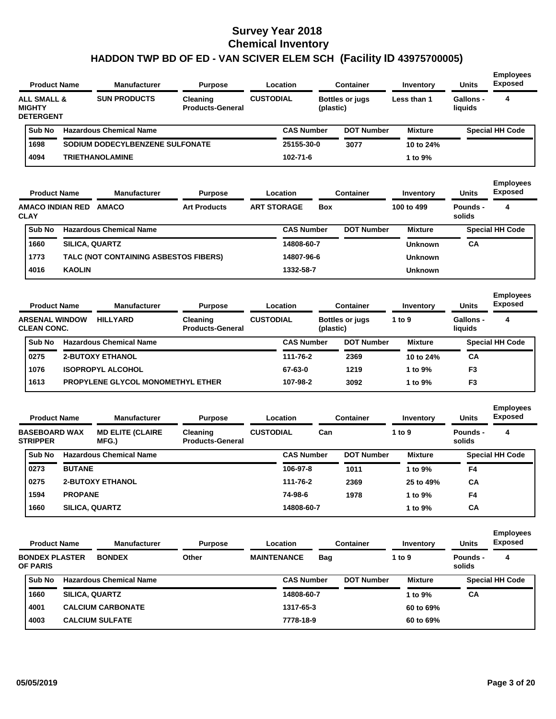| <b>Product Name</b>                                           |                       | <b>Manufacturer</b>                   | <b>Purpose</b>                        |                    | Location          |            | <b>Container</b>       | Inventory               | <b>Units</b>                | <b>Employees</b><br><b>Exposed</b>      |
|---------------------------------------------------------------|-----------------------|---------------------------------------|---------------------------------------|--------------------|-------------------|------------|------------------------|-------------------------|-----------------------------|-----------------------------------------|
| <b>ALL SMALL &amp;</b><br><b>MIGHTY</b><br><b>DETERGENT</b>   |                       | <b>SUN PRODUCTS</b>                   | Cleaning<br><b>Products-General</b>   | <b>CUSTODIAL</b>   |                   | (plastic)  | <b>Bottles or jugs</b> | Less than 1             | Gallons -<br>liquids        | 4                                       |
| Sub No                                                        |                       | <b>Hazardous Chemical Name</b>        |                                       |                    | <b>CAS Number</b> |            | <b>DOT Number</b>      | <b>Mixture</b>          |                             | <b>Special HH Code</b>                  |
| 1698                                                          |                       | SODIUM DODECYLBENZENE SULFONATE       |                                       |                    | 25155-30-0        |            | 3077                   | 10 to 24%               |                             |                                         |
| 4094                                                          |                       | <b>TRIETHANOLAMINE</b>                |                                       |                    | 102-71-6          |            |                        | 1 to 9%                 |                             |                                         |
|                                                               |                       |                                       |                                       |                    |                   |            |                        |                         |                             |                                         |
| <b>Product Name</b><br><b>AMACO INDIAN RED</b><br><b>CLAY</b> |                       | <b>Manufacturer</b><br><b>AMACO</b>   | <b>Purpose</b><br><b>Art Products</b> | <b>ART STORAGE</b> | Location          | <b>Box</b> | Container              | Inventory<br>100 to 499 | Units<br>Pounds -<br>solids | <b>Employees</b><br><b>Exposed</b><br>4 |
| Sub No                                                        |                       | <b>Hazardous Chemical Name</b>        |                                       |                    | <b>CAS Number</b> |            | <b>DOT Number</b>      | <b>Mixture</b>          |                             | <b>Special HH Code</b>                  |
| 1660                                                          | <b>SILICA, QUARTZ</b> |                                       |                                       |                    | 14808-60-7        |            |                        | <b>Unknown</b>          | <b>CA</b>                   |                                         |
| 1773                                                          |                       | TALC (NOT CONTAINING ASBESTOS FIBERS) |                                       |                    | 14807-96-6        |            |                        | <b>Unknown</b>          |                             |                                         |

| <b>Product Name</b>                         | <b>Manufacturer</b>                      | <b>Purpose</b>                      |                  | Location          | Container                                       | Inventory      | <b>Units</b>                | <b>Exposed</b>         |
|---------------------------------------------|------------------------------------------|-------------------------------------|------------------|-------------------|-------------------------------------------------|----------------|-----------------------------|------------------------|
| <b>ARSENAL WINDOW</b><br><b>CLEAN CONC.</b> | <b>HILLYARD</b>                          | Cleaning<br><b>Products-General</b> | <b>CUSTODIAL</b> |                   | <b>Bottles or jugs</b><br>1 to $9$<br>(plastic) |                | <b>Gallons -</b><br>liauids | 4                      |
| Sub No                                      | <b>Hazardous Chemical Name</b>           |                                     |                  | <b>CAS Number</b> | <b>DOT Number</b>                               | <b>Mixture</b> |                             | <b>Special HH Code</b> |
| 0275                                        | <b>2-BUTOXY ETHANOL</b>                  |                                     |                  | 111-76-2          | 2369                                            | 10 to 24%      | CA                          |                        |
| 1076                                        | <b>ISOPROPYL ALCOHOL</b>                 |                                     |                  | 67-63-0           | 1219                                            | 1 to $9\%$     | F <sub>3</sub>              |                        |
| 1613                                        | <b>PROPYLENE GLYCOL MONOMETHYL ETHER</b> |                                     |                  | 107-98-2          | 3092                                            | 1 to $9\%$     | F <sub>3</sub>              |                        |
|                                             |                                          |                                     |                  |                   |                                                 |                |                             |                        |

| <b>Product Name</b><br><b>BASEBOARD WAX</b> | <b>Manufacturer</b> |                                   | <b>Purpose</b>                             |                  | Location          | <b>Container</b>  | Inventory      | <b>Units</b>       | <b>Employees</b><br><b>Exposed</b> |
|---------------------------------------------|---------------------|-----------------------------------|--------------------------------------------|------------------|-------------------|-------------------|----------------|--------------------|------------------------------------|
| <b>STRIPPER</b>                             |                     | <b>MD ELITE (CLAIRE)</b><br>MFG.) | <b>Cleaning</b><br><b>Products-General</b> | <b>CUSTODIAL</b> | Can               |                   | 1 to 9         | Pounds -<br>solids | 4                                  |
| <b>Sub No</b>                               |                     | <b>Hazardous Chemical Name</b>    |                                            |                  | <b>CAS Number</b> | <b>DOT Number</b> | <b>Mixture</b> |                    | <b>Special HH Code</b>             |
| 0273                                        | <b>BUTANE</b>       |                                   |                                            |                  | 106-97-8          | 1011              | 1 to 9%        | F4                 |                                    |
| 0275                                        |                     | <b>2-BUTOXY ETHANOL</b>           |                                            |                  | 111-76-2          | 2369              | 25 to 49%      | CA                 |                                    |
| 1594                                        | <b>PROPANE</b>      |                                   |                                            |                  | 74-98-6           | 1978              | 1 to 9%        | F <sub>4</sub>     |                                    |
| 1660                                        |                     | <b>SILICA, QUARTZ</b>             |                                            |                  | 14808-60-7        |                   | 1 to $9\%$     | CA                 |                                    |

| <b>Product Name</b>                      |                       | <b>Manufacturer</b>            | <b>Purpose</b> |                    | Location          |     | <b>Container</b>  | Inventory      | <b>Units</b>       | <b>Employees</b><br><b>Exposed</b> |
|------------------------------------------|-----------------------|--------------------------------|----------------|--------------------|-------------------|-----|-------------------|----------------|--------------------|------------------------------------|
| <b>BONDEX PLASTER</b><br><b>OF PARIS</b> |                       | <b>BONDEX</b>                  | Other          | <b>MAINTENANCE</b> |                   | Bag |                   | 1 to $9$       | Pounds -<br>solids | 4                                  |
| Sub No                                   |                       | <b>Hazardous Chemical Name</b> |                |                    | <b>CAS Number</b> |     | <b>DOT Number</b> | <b>Mixture</b> |                    | <b>Special HH Code</b>             |
| 1660                                     | <b>SILICA, QUARTZ</b> |                                |                |                    | 14808-60-7        |     |                   | 1 to 9%        | СA                 |                                    |
| 4001                                     |                       | <b>CALCIUM CARBONATE</b>       |                |                    | 1317-65-3         |     |                   | 60 to 69%      |                    |                                    |
| 4003                                     |                       | <b>CALCIUM SULFATE</b>         |                |                    | 7778-18-9         |     |                   | 60 to 69%      |                    |                                    |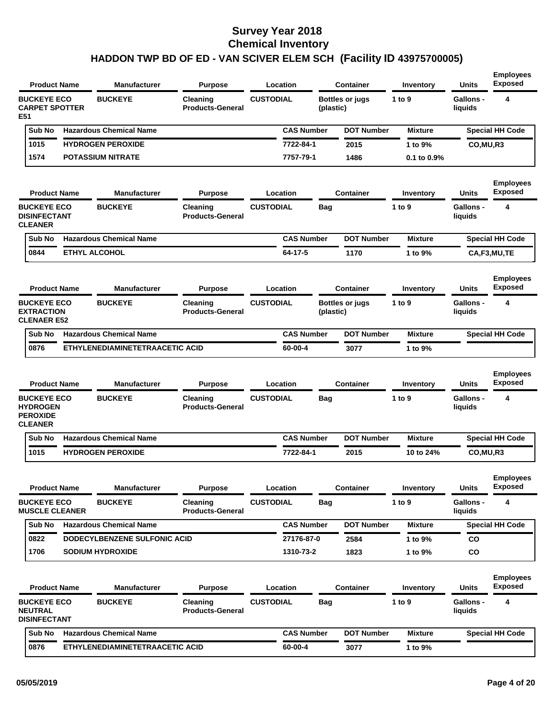| <b>Product Name</b>                                                        |                      | <b>Manufacturer</b>             | <b>Purpose</b>                      | Location          |            | Container              | Inventory        | <b>Units</b>                | <b>Exposed</b>                     |
|----------------------------------------------------------------------------|----------------------|---------------------------------|-------------------------------------|-------------------|------------|------------------------|------------------|-----------------------------|------------------------------------|
| <b>BUCKEYE ECO</b><br><b>CARPET SPOTTER</b><br>E51                         |                      | <b>BUCKEYE</b>                  | Cleaning<br><b>Products-General</b> | <b>CUSTODIAL</b>  | (plastic)  | <b>Bottles or jugs</b> | 1 to $9$         | Gallons -<br>liquids        | 4                                  |
| Sub No                                                                     |                      | <b>Hazardous Chemical Name</b>  |                                     | <b>CAS Number</b> |            | <b>DOT Number</b>      | <b>Mixture</b>   |                             | <b>Special HH Code</b>             |
| 1015                                                                       |                      | <b>HYDROGEN PEROXIDE</b>        |                                     | 7722-84-1         |            | 2015                   | 1 to 9%          | CO, MU, R3                  |                                    |
| 1574                                                                       |                      | <b>POTASSIUM NITRATE</b>        |                                     | 7757-79-1         |            | 1486                   | $0.1$ to $0.9\%$ |                             |                                    |
| <b>Product Name</b>                                                        |                      | <b>Manufacturer</b>             | <b>Purpose</b>                      | Location          |            | <b>Container</b>       | Inventory        | <b>Units</b>                | <b>Employees</b><br><b>Exposed</b> |
| <b>BUCKEYE ECO</b><br><b>DISINFECTANT</b><br><b>CLEANER</b>                |                      | <b>BUCKEYE</b>                  | Cleaning<br><b>Products-General</b> | <b>CUSTODIAL</b>  | Bag        |                        | 1 to 9           | <b>Gallons -</b><br>liquids | 4                                  |
| Sub No                                                                     |                      | <b>Hazardous Chemical Name</b>  |                                     | <b>CAS Number</b> |            | <b>DOT Number</b>      | <b>Mixture</b>   |                             | <b>Special HH Code</b>             |
| 0844                                                                       | <b>ETHYL ALCOHOL</b> |                                 |                                     | 64-17-5           |            | 1170                   | 1 to 9%          |                             | CA,F3,MU,TE                        |
| <b>Product Name</b>                                                        |                      | <b>Manufacturer</b>             | <b>Purpose</b>                      | Location          |            | <b>Container</b>       | Inventory        | Units                       | <b>Employees</b><br><b>Exposed</b> |
| <b>BUCKEYE ECO</b><br><b>EXTRACTION</b><br><b>CLENAER E52</b>              |                      | <b>BUCKEYE</b>                  | Cleaning<br><b>Products-General</b> | <b>CUSTODIAL</b>  | (plastic)  | <b>Bottles or jugs</b> | 1 to 9           | Gallons -<br>liquids        | 4                                  |
| Sub No                                                                     |                      | <b>Hazardous Chemical Name</b>  |                                     | <b>CAS Number</b> |            | <b>DOT Number</b>      | <b>Mixture</b>   |                             | <b>Special HH Code</b>             |
| 0876                                                                       |                      | ETHYLENEDIAMINETETRAACETIC ACID |                                     | 60-00-4           |            | 3077                   | 1 to 9%          |                             |                                    |
| <b>Product Name</b>                                                        |                      | Manufacturer                    | <b>Purpose</b>                      | Location          |            | <b>Container</b>       | Inventory        | Units                       | <b>Employees</b><br><b>Exposed</b> |
| <b>BUCKEYE ECO</b><br><b>HYDROGEN</b><br><b>PEROXIDE</b><br><b>CLEANER</b> |                      | <b>BUCKEYE</b>                  | Cleaning<br><b>Products-General</b> | <b>CUSTODIAL</b>  | Bag        |                        | 1 to $9$         | <b>Gallons -</b><br>liquids | 4                                  |
| Sub No                                                                     |                      | <b>Hazardous Chemical Name</b>  |                                     | <b>CAS Number</b> |            | <b>DOT Number</b>      | <b>Mixture</b>   |                             | <b>Special HH Code</b>             |
| 1015                                                                       |                      | <b>HYDROGEN PEROXIDE</b>        |                                     | 7722-84-1         |            | 2015                   | 10 to 24%        | CO, MU, R3                  |                                    |
| <b>Product Name</b>                                                        |                      | Manufacturer                    | <b>Purpose</b>                      | Location          |            | <b>Container</b>       | Inventory        | Units                       | <b>Employees</b><br><b>Exposed</b> |
| <b>BUCKEYE ECO</b><br><b>MUSCLE CLEANER</b>                                |                      | <b>BUCKEYE</b>                  | Cleaning<br><b>Products-General</b> | <b>CUSTODIAL</b>  | Bag        |                        | 1 to $9$         | <b>Gallons -</b><br>liquids | 4                                  |
| Sub No                                                                     |                      | <b>Hazardous Chemical Name</b>  |                                     | <b>CAS Number</b> |            | <b>DOT Number</b>      | <b>Mixture</b>   |                             | <b>Special HH Code</b>             |
| 0822                                                                       |                      | DODECYLBENZENE SULFONIC ACID    |                                     | 27176-87-0        |            | 2584                   | 1 to 9%          | CO                          |                                    |
| 1706                                                                       |                      | <b>SODIUM HYDROXIDE</b>         |                                     | 1310-73-2         |            | 1823                   | 1 to 9%          | CO                          |                                    |
|                                                                            |                      |                                 |                                     |                   |            |                        |                  |                             |                                    |
| <b>Product Name</b>                                                        |                      | <b>Manufacturer</b>             | <b>Purpose</b>                      | <b>Location</b>   |            | <b>Container</b>       | Inventory        | <b>Units</b>                | <b>Employees</b><br>Exposed        |
| <b>BUCKEYE ECO</b><br>NEUTRAL<br><b>DISINFECTANT</b>                       |                      | <b>BUCKEYE</b>                  | Cleaning<br><b>Products-General</b> | <b>CUSTODIAL</b>  | <b>Bag</b> |                        | 1 to 9           | <b>Gallons -</b><br>liquids | 4                                  |
|                                                                            |                      | Sub No Hazardous Chemical Name  |                                     | <b>CAS Number</b> |            | <b>DOT Number</b>      | <b>Mixture</b>   |                             | <b>Special HH Code</b>             |

**Employees**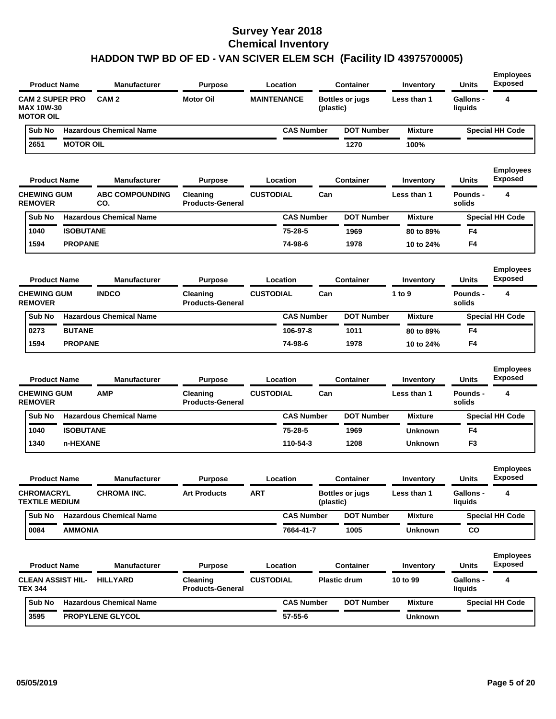| <b>Product Name</b>                                             |                  | <b>Manufacturer</b>            | <b>Purpose</b>                      | Location           |           | <b>Container</b>       | Inventory        | <b>Units</b>                | <b>Employees</b><br><b>Exposed</b> |
|-----------------------------------------------------------------|------------------|--------------------------------|-------------------------------------|--------------------|-----------|------------------------|------------------|-----------------------------|------------------------------------|
| <b>CAM 2 SUPER PRO</b><br><b>MAX 10W-30</b><br><b>MOTOR OIL</b> |                  | CAM <sub>2</sub>               | <b>Motor Oil</b>                    | <b>MAINTENANCE</b> | (plastic) | <b>Bottles or jugs</b> | Less than 1      | <b>Gallons -</b><br>liquids | 4                                  |
| Sub No                                                          |                  | <b>Hazardous Chemical Name</b> |                                     | <b>CAS Number</b>  |           | <b>DOT Number</b>      | <b>Mixture</b>   |                             | <b>Special HH Code</b>             |
| 2651                                                            | <b>MOTOR OIL</b> |                                |                                     |                    |           | 1270                   | 100%             |                             |                                    |
| <b>Product Name</b>                                             |                  | <b>Manufacturer</b>            | <b>Purpose</b>                      | Location           |           | <b>Container</b>       | <b>Inventory</b> | Units                       | <b>Employees</b><br><b>Exposed</b> |
| <b>CHEWING GUM</b><br><b>REMOVER</b>                            |                  | <b>ABC COMPOUNDING</b><br>CO.  | Cleaning<br><b>Products-General</b> | <b>CUSTODIAL</b>   | Can       |                        | Less than 1      | <b>Pounds -</b><br>solids   | 4                                  |
| Sub No                                                          |                  | <b>Hazardous Chemical Name</b> |                                     | <b>CAS Number</b>  |           | <b>DOT Number</b>      | <b>Mixture</b>   |                             | <b>Special HH Code</b>             |
| 1040                                                            | <b>ISOBUTANE</b> |                                |                                     | 75-28-5            |           | 1969                   | 80 to 89%        | F4                          |                                    |
| 1594                                                            | <b>PROPANE</b>   |                                |                                     | 74-98-6            |           | 1978                   | 10 to 24%        | F4                          |                                    |
| <b>Product Name</b>                                             |                  | <b>Manufacturer</b>            | <b>Purpose</b>                      | Location           |           | <b>Container</b>       | Inventory        | Units                       | <b>Employees</b><br><b>Exposed</b> |
| <b>CHEWING GUM</b><br><b>REMOVER</b>                            |                  | <b>INDCO</b>                   | Cleaning<br><b>Products-General</b> | <b>CUSTODIAL</b>   | Can       |                        | 1 to 9           | <b>Pounds -</b><br>solids   | 4                                  |
| Sub No                                                          |                  | <b>Hazardous Chemical Name</b> |                                     | <b>CAS Number</b>  |           | <b>DOT Number</b>      | <b>Mixture</b>   |                             | <b>Special HH Code</b>             |
| 0273                                                            | <b>BUTANE</b>    |                                |                                     | 106-97-8           |           | 1011                   | 80 to 89%        | F4                          |                                    |
| 1594                                                            | <b>PROPANE</b>   |                                |                                     | 74-98-6            |           | 1978                   | 10 to 24%        | F4                          |                                    |
| <b>Product Name</b>                                             |                  | <b>Manufacturer</b>            | <b>Purpose</b>                      | Location           |           | <b>Container</b>       | Inventory        | Units                       | <b>Employees</b><br><b>Exposed</b> |
| <b>CHEWING GUM</b><br><b>REMOVER</b>                            |                  | <b>AMP</b>                     | Cleaning<br><b>Products-General</b> | <b>CUSTODIAL</b>   | Can       |                        | Less than 1      | Pounds -<br>solids          | 4                                  |
| Sub No                                                          |                  | <b>Hazardous Chemical Name</b> |                                     | <b>CAS Number</b>  |           | <b>DOT Number</b>      | <b>Mixture</b>   |                             | <b>Special HH Code</b>             |
| 1040                                                            | <b>ISOBUTANE</b> |                                |                                     | 75-28-5            |           | 1969                   | <b>Unknown</b>   | F4                          |                                    |
| 1340                                                            | n-HEXANE         |                                |                                     | 110-54-3           |           | 1208                   | <b>Unknown</b>   | F3                          |                                    |
| <b>Product Name</b>                                             |                  | <b>Manufacturer</b>            | <b>Purpose</b>                      | Location           |           | <b>Container</b>       | Inventory        | Units                       | <b>Employees</b><br><b>Exposed</b> |
| <b>CHROMACRYL</b><br><b>TEXTILE MEDIUM</b>                      |                  | <b>CHROMA INC.</b>             | <b>Art Products</b>                 | ART                | (plastic) | <b>Bottles or jugs</b> | Less than 1      | Gallons -<br>liquids        | 4                                  |
| Sub No                                                          |                  | <b>Hazardous Chemical Name</b> |                                     | <b>CAS Number</b>  |           | <b>DOT Number</b>      | <b>Mixture</b>   |                             | <b>Special HH Code</b>             |
| 0084                                                            | <b>AMMONIA</b>   |                                |                                     | 7664-41-7          |           | 1005                   | <b>Unknown</b>   | CO                          |                                    |
| <b>Product Name</b>                                             |                  | <b>Manufacturer</b>            | <b>Purpose</b>                      | Location           |           | Container              | Inventory        | <b>Units</b>                | <b>Employees</b><br><b>Exposed</b> |
| <b>CLEAN ASSIST HIL-</b><br><b>TEX 344</b>                      |                  | <b>HILLYARD</b>                | Cleaning<br><b>Products-General</b> | <b>CUSTODIAL</b>   |           | <b>Plastic drum</b>    | 10 to 99         | Gallons -<br>liquids        | 4                                  |
|                                                                 |                  |                                |                                     |                    |           |                        |                  |                             |                                    |
| Sub No                                                          |                  | <b>Hazardous Chemical Name</b> |                                     | <b>CAS Number</b>  |           | <b>DOT Number</b>      | <b>Mixture</b>   |                             | <b>Special HH Code</b>             |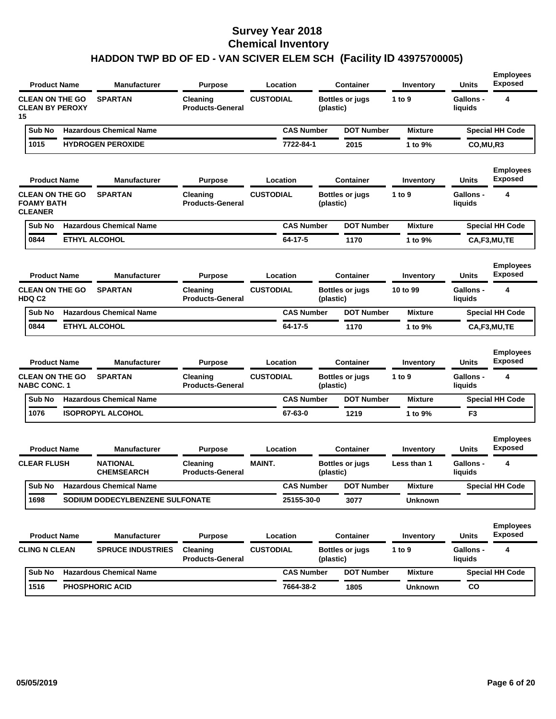|                                                               | <b>Product Name</b> | <b>Manufacturer</b>                  | <b>Purpose</b>                      | Location          |           | Container              | Inventory      | Units                       | <b>Employees</b><br><b>Exposed</b> |
|---------------------------------------------------------------|---------------------|--------------------------------------|-------------------------------------|-------------------|-----------|------------------------|----------------|-----------------------------|------------------------------------|
| <b>CLEAN ON THE GO</b><br><b>CLEAN BY PEROXY</b><br>15        |                     | <b>SPARTAN</b>                       | Cleaning<br><b>Products-General</b> | <b>CUSTODIAL</b>  | (plastic) | <b>Bottles or jugs</b> | 1 to 9         | <b>Gallons -</b><br>liquids | 4                                  |
| Sub No                                                        |                     | <b>Hazardous Chemical Name</b>       |                                     | <b>CAS Number</b> |           | <b>DOT Number</b>      | <b>Mixture</b> |                             | <b>Special HH Code</b>             |
| 1015                                                          |                     | <b>HYDROGEN PEROXIDE</b>             |                                     | 7722-84-1         |           | 2015                   | 1 to 9%        | CO,MU,R3                    |                                    |
|                                                               | <b>Product Name</b> | <b>Manufacturer</b>                  | <b>Purpose</b>                      | Location          |           | Container              | Inventory      | Units                       | <b>Employees</b><br><b>Exposed</b> |
| <b>CLEAN ON THE GO</b><br><b>FOAMY BATH</b><br><b>CLEANER</b> |                     | <b>SPARTAN</b>                       | Cleaning<br><b>Products-General</b> | <b>CUSTODIAL</b>  | (plastic) | <b>Bottles or jugs</b> | 1 to 9         | <b>Gallons -</b><br>liquids | 4                                  |
| Sub No                                                        |                     | <b>Hazardous Chemical Name</b>       |                                     | <b>CAS Number</b> |           | <b>DOT Number</b>      | <b>Mixture</b> |                             | <b>Special HH Code</b>             |
| 0844                                                          |                     | <b>ETHYL ALCOHOL</b>                 |                                     | 64-17-5           |           | 1170                   | 1 to 9%        |                             | CA,F3,MU,TE                        |
|                                                               | <b>Product Name</b> | <b>Manufacturer</b>                  | <b>Purpose</b>                      | Location          |           | <b>Container</b>       | Inventory      | Units                       | <b>Employees</b><br><b>Exposed</b> |
| <b>CLEAN ON THE GO</b><br>HDQ C2                              |                     | <b>SPARTAN</b>                       | Cleaning<br><b>Products-General</b> | <b>CUSTODIAL</b>  | (plastic) | <b>Bottles or jugs</b> | 10 to 99       | Gallons -<br>liquids        | 4                                  |
|                                                               |                     |                                      |                                     | <b>CAS Number</b> |           | <b>DOT Number</b>      | <b>Mixture</b> |                             | <b>Special HH Code</b>             |
| Sub No                                                        |                     | <b>Hazardous Chemical Name</b>       |                                     |                   |           |                        |                |                             |                                    |
| 0844                                                          |                     | <b>ETHYL ALCOHOL</b>                 |                                     | 64-17-5           |           | 1170                   | 1 to 9%        |                             | CA,F3,MU,TE                        |
|                                                               | <b>Product Name</b> | <b>Manufacturer</b>                  | <b>Purpose</b>                      | Location          |           | <b>Container</b>       | Inventory      | Units                       | <b>Employees</b><br><b>Exposed</b> |
| <b>CLEAN ON THE GO</b><br><b>NABC CONC. 1</b>                 |                     | <b>SPARTAN</b>                       | Cleaning<br><b>Products-General</b> | <b>CUSTODIAL</b>  | (plastic) | <b>Bottles or jugs</b> | 1 to 9         | <b>Gallons -</b><br>liquids | 4                                  |
| Sub No                                                        |                     | <b>Hazardous Chemical Name</b>       |                                     | <b>CAS Number</b> |           | <b>DOT Number</b>      | <b>Mixture</b> |                             | <b>Special HH Code</b>             |
| 1076                                                          |                     | <b>ISOPROPYL ALCOHOL</b>             |                                     | 67-63-0           |           | 1219                   | 1 to 9%        | F <sub>3</sub>              |                                    |
|                                                               | <b>Product Name</b> | <b>Manufacturer</b>                  | <b>Purpose</b>                      | Location          |           | <b>Container</b>       | Inventory      | Units                       | <b>Employees</b><br><b>Exposed</b> |
| <b>CLEAR FLUSH</b>                                            |                     | <b>NATIONAL</b><br><b>CHEMSEARCH</b> | Cleaning<br><b>Products-General</b> | <b>MAINT.</b>     | (plastic) | <b>Bottles or jugs</b> | Less than 1    | <b>Gallons -</b><br>liquids | 4                                  |
| Sub No                                                        |                     | <b>Hazardous Chemical Name</b>       |                                     | <b>CAS Number</b> |           | <b>DOT Number</b>      | <b>Mixture</b> |                             | <b>Special HH Code</b>             |
| 1698                                                          |                     | SODIUM DODECYLBENZENE SULFONATE      |                                     | 25155-30-0        |           | 3077                   | <b>Unknown</b> |                             |                                    |
|                                                               | <b>Product Name</b> | <b>Manufacturer</b>                  | <b>Purpose</b>                      | Location          |           | <b>Container</b>       | Inventory      | Units                       | <b>Employees</b><br><b>Exposed</b> |
| <b>CLING N CLEAN</b>                                          |                     | <b>SPRUCE INDUSTRIES</b>             | Cleaning<br><b>Products-General</b> | <b>CUSTODIAL</b>  | (plastic) | <b>Bottles or jugs</b> | 1 to 9         | Gallons -<br>liquids        | 4                                  |
| Sub No                                                        |                     | <b>Hazardous Chemical Name</b>       |                                     | <b>CAS Number</b> |           | <b>DOT Number</b>      | <b>Mixture</b> |                             | <b>Special HH Code</b>             |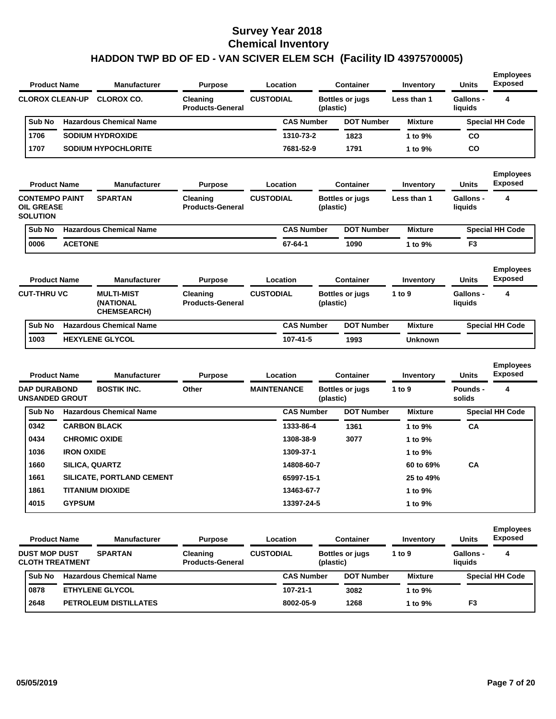| <b>Product Name</b>                                           |                       | <b>Manufacturer</b>                                  | <b>Purpose</b>                      |                    | Location          |           | <b>Container</b>       | Inventory        | <b>Units</b>                | <b>Employees</b><br>Exposed |
|---------------------------------------------------------------|-----------------------|------------------------------------------------------|-------------------------------------|--------------------|-------------------|-----------|------------------------|------------------|-----------------------------|-----------------------------|
| <b>CLOROX CLEAN-UP</b>                                        |                       | <b>CLOROX CO.</b>                                    | Cleaning<br><b>Products-General</b> | <b>CUSTODIAL</b>   |                   | (plastic) | <b>Bottles or jugs</b> | Less than 1      | <b>Gallons -</b><br>liquids | 4                           |
| Sub No                                                        |                       | <b>Hazardous Chemical Name</b>                       |                                     |                    | <b>CAS Number</b> |           | <b>DOT Number</b>      | <b>Mixture</b>   |                             | <b>Special HH Code</b>      |
| 1706                                                          |                       | <b>SODIUM HYDROXIDE</b>                              |                                     |                    | 1310-73-2         |           | 1823                   | 1 to 9%          | <b>CO</b>                   |                             |
| 1707                                                          |                       | <b>SODIUM HYPOCHLORITE</b>                           |                                     |                    | 7681-52-9         |           | 1791                   | 1 to 9%          | <b>CO</b>                   |                             |
| <b>Product Name</b>                                           |                       | <b>Manufacturer</b>                                  | <b>Purpose</b>                      |                    | Location          |           | <b>Container</b>       | <b>Inventory</b> | <b>Units</b>                | <b>Employees</b><br>Exposed |
| <b>CONTEMPO PAINT</b><br><b>OIL GREASE</b><br><b>SOLUTION</b> |                       | <b>SPARTAN</b>                                       | Cleaning<br><b>Products-General</b> | <b>CUSTODIAL</b>   |                   | (plastic) | <b>Bottles or jugs</b> | Less than 1      | Gallons -<br>liquids        | 4                           |
| Sub No                                                        |                       | <b>Hazardous Chemical Name</b>                       |                                     |                    | <b>CAS Number</b> |           | <b>DOT Number</b>      | <b>Mixture</b>   |                             | <b>Special HH Code</b>      |
| 0006                                                          | <b>ACETONE</b>        |                                                      |                                     |                    | 67-64-1           |           | 1090                   | 1 to 9%          | F <sub>3</sub>              |                             |
| <b>Product Name</b>                                           |                       | <b>Manufacturer</b>                                  | <b>Purpose</b>                      |                    | Location          |           | Container              | Inventory        | <b>Units</b>                | <b>Employees</b><br>Exposed |
| <b>CUT-THRU VC</b>                                            |                       | <b>MULTI-MIST</b><br>(NATIONAL<br><b>CHEMSEARCH)</b> | Cleaning<br><b>Products-General</b> | <b>CUSTODIAL</b>   |                   | (plastic) | <b>Bottles or jugs</b> | 1 to 9           | Gallons -<br>liquids        | 4                           |
| Sub No                                                        |                       | <b>Hazardous Chemical Name</b>                       |                                     |                    | <b>CAS Number</b> |           | <b>DOT Number</b>      | <b>Mixture</b>   |                             | <b>Special HH Code</b>      |
| 1003                                                          |                       | <b>HEXYLENE GLYCOL</b>                               |                                     |                    | 107-41-5          |           | 1993                   | <b>Unknown</b>   |                             |                             |
| <b>Product Name</b>                                           |                       | <b>Manufacturer</b>                                  | <b>Purpose</b>                      |                    | Location          |           | <b>Container</b>       | Inventory        | <b>Units</b>                | Employees<br>Exposed        |
| <b>DAP DURABOND</b><br><b>UNSANDED GROUT</b>                  |                       | <b>BOSTIK INC.</b>                                   | Other                               | <b>MAINTENANCE</b> |                   | (plastic) | <b>Bottles or jugs</b> | 1 to 9           | Pounds -<br>solids          | 4                           |
| Sub No                                                        |                       | <b>Hazardous Chemical Name</b>                       |                                     |                    | <b>CAS Number</b> |           | <b>DOT Number</b>      | <b>Mixture</b>   |                             | <b>Special HH Code</b>      |
| 0342                                                          |                       | <b>CARBON BLACK</b>                                  |                                     |                    | 1333-86-4         |           | 1361                   | 1 to 9%          | <b>CA</b>                   |                             |
| 0434                                                          |                       | <b>CHROMIC OXIDE</b>                                 |                                     |                    | 1308-38-9         |           | 3077                   | 1 to 9%          |                             |                             |
| 1036                                                          | <b>IRON OXIDE</b>     |                                                      |                                     |                    | 1309-37-1         |           |                        | 1 to 9%          |                             |                             |
| 1660                                                          | <b>SILICA, QUARTZ</b> |                                                      |                                     |                    | 14808-60-7        |           |                        | 60 to 69%        | <b>CA</b>                   |                             |
| 1661                                                          |                       | <b>SILICATE, PORTLAND CEMENT</b>                     |                                     |                    | 65997-15-1        |           |                        | 25 to 49%        |                             |                             |
| 1861                                                          |                       | <b>TITANIUM DIOXIDE</b>                              |                                     |                    | 13463-67-7        |           |                        | 1 to 9%          |                             |                             |
| 4015                                                          | <b>GYPSUM</b>         |                                                      |                                     |                    | 13397-24-5        |           |                        | 1 to 9%          |                             |                             |

| <b>Product Name</b>                            | <b>Manufacturer</b>            | <b>Purpose</b>                      |                  | Location          |           | Container              | Inventory      | <b>Units</b>                | <b>Employees</b><br><b>Exposed</b> |
|------------------------------------------------|--------------------------------|-------------------------------------|------------------|-------------------|-----------|------------------------|----------------|-----------------------------|------------------------------------|
| <b>DUST MOP DUST</b><br><b>CLOTH TREATMENT</b> | <b>SPARTAN</b>                 | Cleaning<br><b>Products-General</b> | <b>CUSTODIAL</b> |                   | (plastic) | <b>Bottles or jugs</b> | 1 to 9         | <b>Gallons -</b><br>liauids | 4                                  |
| <b>Sub No</b>                                  | <b>Hazardous Chemical Name</b> |                                     |                  | <b>CAS Number</b> |           | <b>DOT Number</b>      | <b>Mixture</b> |                             | <b>Special HH Code</b>             |
| 0878                                           | <b>ETHYLENE GLYCOL</b>         |                                     |                  | 107-21-1          |           | 3082                   | 1 to 9%        |                             |                                    |
| 2648                                           | <b>PETROLEUM DISTILLATES</b>   |                                     |                  | 8002-05-9         |           | 1268                   | 1 to 9%        | F <sub>3</sub>              |                                    |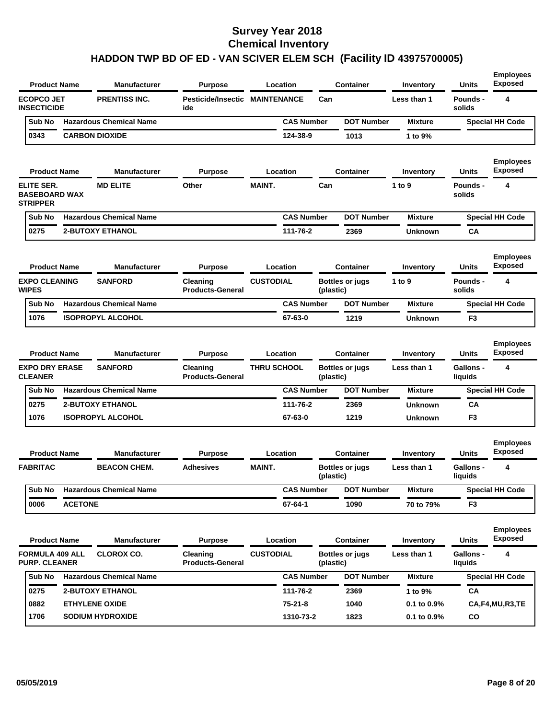| <b>Product Name</b>                                   |                | <b>Manufacturer</b>                   | <b>Purpose</b>                               |                    | Location          |           | <b>Container</b>                           | Inventory                | <b>Units</b>                | <b>Employees</b><br><b>Exposed</b>      |
|-------------------------------------------------------|----------------|---------------------------------------|----------------------------------------------|--------------------|-------------------|-----------|--------------------------------------------|--------------------------|-----------------------------|-----------------------------------------|
| <b>ECOPCO JET</b><br><b>INSECTICIDE</b>               |                | <b>PRENTISS INC.</b>                  | <b>Pesticide/Insectic MAINTENANCE</b><br>ide |                    |                   | Can       |                                            | Less than 1              | Pounds -<br>solids          | 4                                       |
| Sub No                                                |                | <b>Hazardous Chemical Name</b>        |                                              |                    | <b>CAS Number</b> |           | <b>DOT Number</b>                          | <b>Mixture</b>           |                             | <b>Special HH Code</b>                  |
| 0343                                                  |                | <b>CARBON DIOXIDE</b>                 |                                              |                    | 124-38-9          |           | 1013                                       | 1 to 9%                  |                             |                                         |
| <b>Product Name</b>                                   |                | <b>Manufacturer</b>                   | <b>Purpose</b>                               |                    | Location          |           | <b>Container</b>                           | Inventory                | <b>Units</b>                | <b>Employees</b><br><b>Exposed</b>      |
| ELITE SER.<br><b>BASEBOARD WAX</b><br><b>STRIPPER</b> |                | <b>MD ELITE</b>                       | Other                                        | <b>MAINT.</b>      |                   | Can       |                                            | 1 to 9                   | <b>Pounds -</b><br>solids   | 4                                       |
| Sub No                                                |                | <b>Hazardous Chemical Name</b>        |                                              |                    | <b>CAS Number</b> |           | <b>DOT Number</b>                          | <b>Mixture</b>           |                             | <b>Special HH Code</b>                  |
| 0275                                                  |                | <b>2-BUTOXY ETHANOL</b>               |                                              |                    | 111-76-2          |           | 2369                                       | <b>Unknown</b>           | CA                          |                                         |
| <b>Product Name</b>                                   |                | <b>Manufacturer</b>                   | <b>Purpose</b>                               | <b>CUSTODIAL</b>   | Location          |           | <b>Container</b>                           | Inventory                | <b>Units</b>                | <b>Employees</b><br><b>Exposed</b>      |
| <b>EXPO CLEANING</b><br><b>WIPES</b>                  |                | <b>SANFORD</b>                        | Cleaning<br><b>Products-General</b>          |                    |                   | (plastic) | <b>Bottles or jugs</b>                     | 1 to 9                   | <b>Pounds -</b><br>solids   | 4                                       |
| Sub No                                                |                | <b>Hazardous Chemical Name</b>        |                                              |                    | <b>CAS Number</b> |           | <b>DOT Number</b>                          | <b>Mixture</b>           |                             | <b>Special HH Code</b>                  |
| 1076                                                  |                | <b>ISOPROPYL ALCOHOL</b>              |                                              |                    | 67-63-0           |           | 1219                                       | <b>Unknown</b>           | F3                          |                                         |
| <b>Product Name</b><br><b>EXPO DRY ERASE</b>          |                | <b>Manufacturer</b><br><b>SANFORD</b> | <b>Purpose</b><br>Cleaning                   | <b>THRU SCHOOL</b> | Location          |           | <b>Container</b><br><b>Bottles or jugs</b> | Inventory<br>Less than 1 | Units<br>Gallons -          | <b>Employees</b><br><b>Exposed</b><br>4 |
| <b>CLEANER</b>                                        |                |                                       | <b>Products-General</b>                      |                    |                   | (plastic) |                                            |                          | liquids                     |                                         |
| Sub No                                                |                | <b>Hazardous Chemical Name</b>        |                                              |                    | <b>CAS Number</b> |           | <b>DOT Number</b>                          | <b>Mixture</b>           |                             | <b>Special HH Code</b>                  |
| 0275                                                  |                | <b>2-BUTOXY ETHANOL</b>               |                                              |                    | 111-76-2          |           | 2369                                       | <b>Unknown</b>           | CA                          |                                         |
| 1076                                                  |                | <b>ISOPROPYL ALCOHOL</b>              |                                              |                    | 67-63-0           |           | 1219                                       | <b>Unknown</b>           | F3                          |                                         |
| <b>Product Name</b>                                   |                | Manufacturer                          | <b>Purpose</b>                               |                    | Location          |           | <b>Container</b>                           | Inventory                | <b>Units</b>                | <b>Employees</b><br><b>Exposed</b>      |
| <b>FABRITAC</b>                                       |                | <b>BEACON CHEM.</b>                   | <b>Adhesives</b>                             | <b>MAINT.</b>      |                   | (plastic) | <b>Bottles or jugs</b>                     | Less than 1              | <b>Gallons -</b><br>liquids | 4                                       |
| Sub No                                                |                | <b>Hazardous Chemical Name</b>        |                                              |                    | <b>CAS Number</b> |           | <b>DOT Number</b>                          | <b>Mixture</b>           |                             | <b>Special HH Code</b>                  |
| 0006                                                  | <b>ACETONE</b> |                                       |                                              |                    | 67-64-1           |           | 1090                                       | 70 to 79%                | F3                          |                                         |
| <b>Product Name</b>                                   |                | Manufacturer                          | <b>Purpose</b>                               |                    | Location          |           | <b>Container</b>                           | Inventory                | <b>Units</b>                | <b>Employees</b><br><b>Exposed</b>      |
| <b>FORMULA 409 ALL</b><br><b>PURP. CLEANER</b>        |                | <b>CLOROX CO.</b>                     | Cleaning<br><b>Products-General</b>          | <b>CUSTODIAL</b>   |                   | (plastic) | <b>Bottles or jugs</b>                     | Less than 1              | <b>Gallons -</b><br>liquids | 4                                       |
| Sub No                                                |                | <b>Hazardous Chemical Name</b>        |                                              |                    | <b>CAS Number</b> |           | <b>DOT Number</b>                          | <b>Mixture</b>           |                             | <b>Special HH Code</b>                  |
| 0275                                                  |                | <b>2-BUTOXY ETHANOL</b>               |                                              |                    | 111-76-2          |           | 2369                                       | 1 to 9%                  | CA                          |                                         |
| 0882                                                  |                | <b>ETHYLENE OXIDE</b>                 |                                              |                    | $75 - 21 - 8$     |           | 1040                                       | 0.1 to 0.9%              |                             | CA,F4,MU,R3,TE                          |
| 1706                                                  |                | <b>SODIUM HYDROXIDE</b>               |                                              |                    | 1310-73-2         |           | 1823                                       | 0.1 to 0.9%              | CO                          |                                         |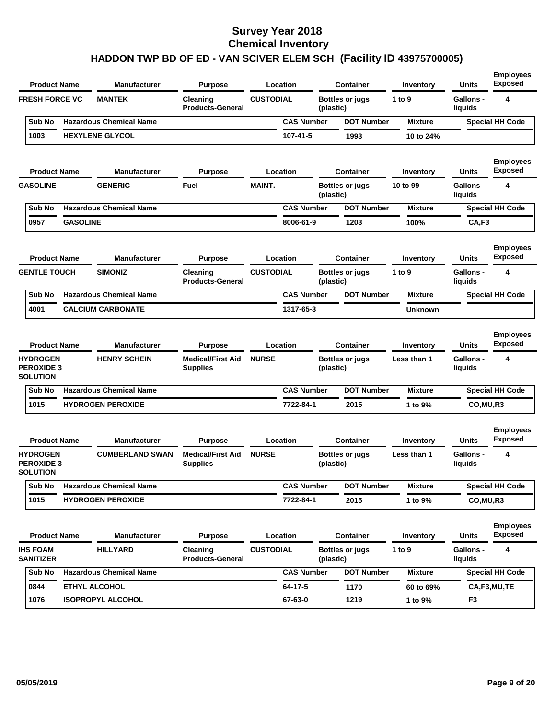| <b>Product Name</b>                                         |                 | Manufacturer                               | Purpose                                                |                  | Location          |           | <b>Container</b>                           | Inventory                | Units                                | <b>Employees</b><br><b>Exposed</b>      |
|-------------------------------------------------------------|-----------------|--------------------------------------------|--------------------------------------------------------|------------------|-------------------|-----------|--------------------------------------------|--------------------------|--------------------------------------|-----------------------------------------|
| <b>FRESH FORCE VC</b>                                       |                 | <b>MANTEK</b>                              | Cleaning<br><b>Products-General</b>                    | <b>CUSTODIAL</b> |                   | (plastic) | <b>Bottles or jugs</b>                     | 1 to 9                   | Gallons -<br>liquids                 | 4                                       |
| Sub No                                                      |                 | <b>Hazardous Chemical Name</b>             |                                                        |                  | <b>CAS Number</b> |           | <b>DOT Number</b>                          | <b>Mixture</b>           |                                      | <b>Special HH Code</b>                  |
| 1003                                                        |                 | <b>HEXYLENE GLYCOL</b>                     |                                                        |                  | 107-41-5          |           | 1993                                       | 10 to 24%                |                                      |                                         |
| <b>Product Name</b>                                         |                 | <b>Manufacturer</b>                        | Purpose                                                |                  | Location          |           | <b>Container</b>                           | Inventory                | Units                                | <b>Employees</b><br><b>Exposed</b>      |
| <b>GASOLINE</b>                                             |                 | <b>GENERIC</b>                             | Fuel                                                   | <b>MAINT.</b>    |                   | (plastic) | <b>Bottles or jugs</b>                     | 10 to 99                 | Gallons -<br>liquids                 | 4                                       |
| Sub No                                                      |                 | <b>Hazardous Chemical Name</b>             |                                                        |                  | <b>CAS Number</b> |           | <b>DOT Number</b>                          | <b>Mixture</b>           |                                      | <b>Special HH Code</b>                  |
| 0957                                                        | <b>GASOLINE</b> |                                            |                                                        |                  | 8006-61-9         |           | 1203                                       | 100%                     | CA,F3                                |                                         |
| <b>Product Name</b>                                         |                 | <b>Manufacturer</b>                        | Purpose                                                |                  | Location          |           | <b>Container</b>                           | Inventory                | Units                                | <b>Employees</b><br><b>Exposed</b>      |
| <b>GENTLE TOUCH</b>                                         |                 | <b>SIMONIZ</b>                             | Cleaning<br><b>Products-General</b>                    | <b>CUSTODIAL</b> |                   | (plastic) | <b>Bottles or jugs</b>                     | 1 to 9                   | <b>Gallons -</b><br>liquids          | 4                                       |
| Sub No                                                      |                 | <b>Hazardous Chemical Name</b>             |                                                        |                  | <b>CAS Number</b> |           | <b>DOT Number</b>                          | <b>Mixture</b>           |                                      | <b>Special HH Code</b>                  |
| 4001                                                        |                 | <b>CALCIUM CARBONATE</b>                   |                                                        |                  | 1317-65-3         |           |                                            | <b>Unknown</b>           |                                      |                                         |
| <b>Product Name</b><br><b>HYDROGEN</b><br><b>PEROXIDE 3</b> |                 | <b>Manufacturer</b><br><b>HENRY SCHEIN</b> | Purpose<br><b>Medical/First Aid</b><br><b>Supplies</b> | <b>NURSE</b>     | Location          | (plastic) | <b>Container</b><br><b>Bottles or jugs</b> | Inventory<br>Less than 1 | Units<br><b>Gallons -</b><br>liquids | <b>Employees</b><br><b>Exposed</b><br>4 |
| <b>SOLUTION</b>                                             |                 |                                            |                                                        |                  |                   |           |                                            |                          |                                      |                                         |
| Sub No                                                      |                 | <b>Hazardous Chemical Name</b>             |                                                        |                  | <b>CAS Number</b> |           | <b>DOT Number</b>                          | <b>Mixture</b>           |                                      | <b>Special HH Code</b>                  |
| 1015                                                        |                 | <b>HYDROGEN PEROXIDE</b>                   |                                                        |                  | 7722-84-1         |           | 2015                                       | 1 to 9%                  | CO, MU, R3                           |                                         |
| <b>Product Name</b>                                         |                 | Manufacturer                               | Purpose                                                |                  | Location          |           | <b>Container</b>                           | Inventory                | Units                                | <b>Employees</b><br><b>Exposed</b>      |
| <b>HYDROGEN</b><br><b>PEROXIDE 3</b><br>SOLUTION            |                 | <b>CUMBERLAND SWAN</b>                     | <b>Medical/First Aid</b><br><b>Supplies</b>            | <b>NURSE</b>     |                   | (plastic) | <b>Bottles or jugs</b>                     | Less than 1              | <b>Gallons -</b><br>liquids          | 4                                       |
| Sub No                                                      |                 | <b>Hazardous Chemical Name</b>             |                                                        |                  | <b>CAS Number</b> |           | <b>DOT Number</b>                          | <b>Mixture</b>           |                                      | <b>Special HH Code</b>                  |
| 1015                                                        |                 | <b>HYDROGEN PEROXIDE</b>                   |                                                        |                  | 7722-84-1         |           | 2015                                       | 1 to 9%                  | CO, MU, R3                           |                                         |
| <b>Product Name</b>                                         |                 | <b>Manufacturer</b>                        | <b>Purpose</b>                                         |                  | Location          |           | <b>Container</b>                           | Inventory                | <b>Units</b>                         | <b>Employees</b><br><b>Exposed</b>      |
| <b>IHS FOAM</b><br><b>SANITIZER</b>                         |                 | <b>HILLYARD</b>                            | Cleaning<br><b>Products-General</b>                    | <b>CUSTODIAL</b> |                   | (plastic) | <b>Bottles or jugs</b>                     | 1 to 9                   | <b>Gallons -</b><br>liquids          | 4                                       |
| Sub No                                                      |                 | <b>Hazardous Chemical Name</b>             |                                                        |                  | <b>CAS Number</b> |           | <b>DOT Number</b>                          | <b>Mixture</b>           |                                      | <b>Special HH Code</b>                  |
| 0844                                                        |                 | ETHYL ALCOHOL                              |                                                        |                  | 64-17-5           |           | 1170                                       | 60 to 69%                |                                      | CA,F3,MU,TE                             |
| 1076                                                        |                 | <b>ISOPROPYL ALCOHOL</b>                   |                                                        |                  |                   |           |                                            |                          |                                      |                                         |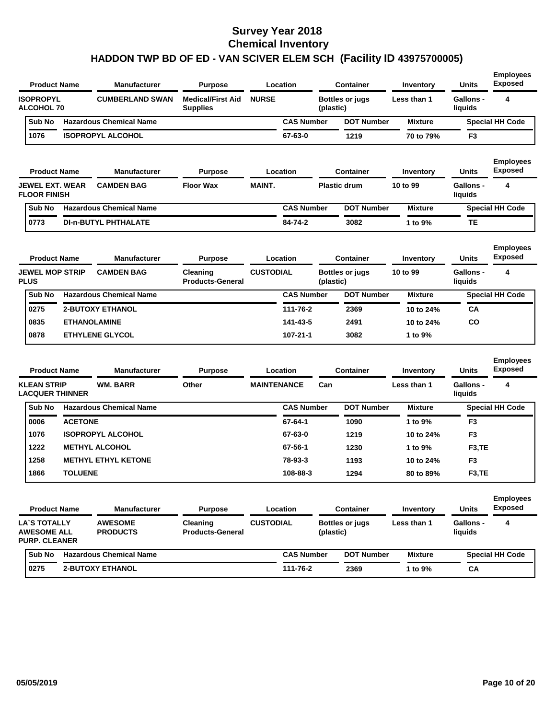| <b>Product Name</b>                                               |                | <b>Manufacturer</b>               | <b>Purpose</b>                       |                    | Location          |           | Container              | Inventory      | <b>Units</b>                | <b>Employees</b><br><b>Exposed</b> |
|-------------------------------------------------------------------|----------------|-----------------------------------|--------------------------------------|--------------------|-------------------|-----------|------------------------|----------------|-----------------------------|------------------------------------|
| <b>ISOPROPYL</b><br><b>ALCOHOL 70</b>                             |                | <b>CUMBERLAND SWAN</b>            | <b>Medical/First Aid</b><br>Supplies | <b>NURSE</b>       |                   | (plastic) | <b>Bottles or jugs</b> | Less than 1    | <b>Gallons -</b><br>liquids | 4                                  |
| Sub No                                                            |                | <b>Hazardous Chemical Name</b>    |                                      |                    | <b>CAS Number</b> |           | <b>DOT Number</b>      | <b>Mixture</b> |                             | <b>Special HH Code</b>             |
| 1076                                                              |                | <b>ISOPROPYL ALCOHOL</b>          |                                      |                    | 67-63-0           |           | 1219                   | 70 to 79%      | F <sub>3</sub>              |                                    |
| <b>Product Name</b>                                               |                | <b>Manufacturer</b>               | <b>Purpose</b>                       |                    | Location          |           | Container              | Inventory      | Units                       | <b>Employees</b><br><b>Exposed</b> |
| <b>JEWEL EXT. WEAR</b><br><b>FLOOR FINISH</b>                     |                | <b>CAMDEN BAG</b>                 | <b>Floor Wax</b>                     | <b>MAINT.</b>      |                   |           | <b>Plastic drum</b>    | 10 to 99       | <b>Gallons -</b><br>liquids | 4                                  |
| Sub No                                                            |                | <b>Hazardous Chemical Name</b>    |                                      |                    | <b>CAS Number</b> |           | <b>DOT Number</b>      | <b>Mixture</b> |                             | <b>Special HH Code</b>             |
| 0773                                                              |                | <b>DI-n-BUTYL PHTHALATE</b>       |                                      |                    | 84-74-2           |           | 3082                   | 1 to 9%        | TЕ                          |                                    |
| <b>Product Name</b>                                               |                | <b>Manufacturer</b>               | <b>Purpose</b>                       |                    | Location          |           | <b>Container</b>       | Inventory      | <b>Units</b>                | <b>Employees</b><br><b>Exposed</b> |
| <b>JEWEL MOP STRIP</b><br><b>PLUS</b>                             |                | <b>CAMDEN BAG</b>                 | Cleaning<br><b>Products-General</b>  | <b>CUSTODIAL</b>   |                   | (plastic) | <b>Bottles or jugs</b> | 10 to 99       | Gallons -<br>liquids        | 4                                  |
| Sub No                                                            |                | <b>Hazardous Chemical Name</b>    |                                      |                    | <b>CAS Number</b> |           | <b>DOT Number</b>      | <b>Mixture</b> |                             | <b>Special HH Code</b>             |
| 0275                                                              |                | <b>2-BUTOXY ETHANOL</b>           |                                      |                    | 111-76-2          |           | 2369                   | 10 to 24%      | СA                          |                                    |
| 0835                                                              |                | <b>ETHANOLAMINE</b>               |                                      |                    | 141-43-5          |           | 2491                   | 10 to 24%      | CO                          |                                    |
| 0878                                                              |                | <b>ETHYLENE GLYCOL</b>            |                                      |                    | 107-21-1          |           | 3082                   | 1 to 9%        |                             |                                    |
| <b>Product Name</b>                                               |                | <b>Manufacturer</b>               | <b>Purpose</b>                       |                    | Location          |           | <b>Container</b>       | Inventory      | Units                       | <b>Employees</b><br><b>Exposed</b> |
| <b>KLEAN STRIP</b><br><b>LACQUER THINNER</b>                      |                | <b>WM. BARR</b>                   | Other                                | <b>MAINTENANCE</b> |                   | Can       |                        | Less than 1    | <b>Gallons -</b><br>liquids | 4                                  |
| Sub No                                                            |                | <b>Hazardous Chemical Name</b>    |                                      |                    | <b>CAS Number</b> |           | <b>DOT Number</b>      | <b>Mixture</b> |                             | <b>Special HH Code</b>             |
| 0006                                                              | <b>ACETONE</b> |                                   |                                      |                    | 67-64-1           |           | 1090                   | 1 to 9%        | F3                          |                                    |
| 1076                                                              |                | <b>ISOPROPYL ALCOHOL</b>          |                                      |                    | 67-63-0           |           | 1219                   | 10 to 24%      | F <sub>3</sub>              |                                    |
| 1222                                                              |                | <b>METHYL ALCOHOL</b>             |                                      |                    | 67-56-1           |           | 1230                   | 1 to 9%        | F <sub>3</sub> ,TE          |                                    |
| 1258                                                              |                | <b>METHYL ETHYL KETONE</b>        |                                      |                    | 78-93-3           |           | 1193                   | 10 to 24%      | F3                          |                                    |
| 1866                                                              | <b>TOLUENE</b> |                                   |                                      |                    | 108-88-3          |           | 1294                   | 80 to 89%      | F <sub>3</sub> ,TE          |                                    |
| <b>Product Name</b>                                               |                | <b>Manufacturer</b>               | <b>Purpose</b>                       |                    | Location          |           | <b>Container</b>       | Inventory      | Units                       | <b>Employees</b><br><b>Exposed</b> |
| <b>LA'S TOTALLY</b><br><b>AWESOME ALL</b><br><b>PURP. CLEANER</b> |                | <b>AWESOME</b><br><b>PRODUCTS</b> | Cleaning<br><b>Products-General</b>  | <b>CUSTODIAL</b>   |                   | (plastic) | <b>Bottles or jugs</b> | Less than 1    | <b>Gallons -</b><br>liquids | 4                                  |
| Sub No                                                            |                | <b>Hazardous Chemical Name</b>    |                                      |                    | <b>CAS Number</b> |           | <b>DOT Number</b>      | <b>Mixture</b> |                             | <b>Special HH Code</b>             |
| 0275                                                              |                | <b>2-BUTOXY ETHANOL</b>           |                                      |                    | 111-76-2          |           | 2369                   | 1 to 9%        | СA                          |                                    |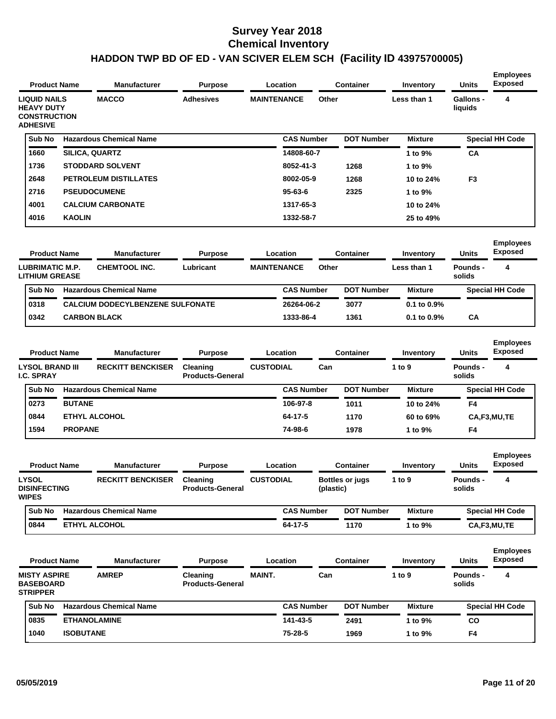| <b>Product Name</b>                                        |                  | Manufacturer                            | <b>Purpose</b>                      |                    | Location          |           | <b>Container</b>       | Inventory        | Units                     | <b>Employees</b><br>Exposed |
|------------------------------------------------------------|------------------|-----------------------------------------|-------------------------------------|--------------------|-------------------|-----------|------------------------|------------------|---------------------------|-----------------------------|
| <b>LIQUID NAILS</b><br><b>HEAVY DUTY</b>                   |                  | <b>MACCO</b>                            | <b>Adhesives</b>                    | <b>MAINTENANCE</b> |                   | Other     |                        | Less than 1      | Gallons -<br>liquids      | 4                           |
| <b>CONSTRUCTION</b><br><b>ADHESIVE</b>                     |                  |                                         |                                     |                    |                   |           |                        |                  |                           |                             |
| Sub No                                                     |                  | <b>Hazardous Chemical Name</b>          |                                     |                    | <b>CAS Number</b> |           | <b>DOT Number</b>      | <b>Mixture</b>   |                           | <b>Special HH Code</b>      |
| 1660                                                       |                  | SILICA, QUARTZ                          |                                     |                    | 14808-60-7        |           |                        | 1 to 9%          | CА                        |                             |
| 1736                                                       |                  | <b>STODDARD SOLVENT</b>                 |                                     |                    | 8052-41-3         |           | 1268                   | 1 to 9%          |                           |                             |
| 2648                                                       |                  | PETROLEUM DISTILLATES                   |                                     |                    | 8002-05-9         |           | 1268                   | 10 to 24%        | F <sub>3</sub>            |                             |
| 2716                                                       |                  | <b>PSEUDOCUMENE</b>                     |                                     |                    | 95-63-6           |           | 2325                   | 1 to 9%          |                           |                             |
| 4001                                                       |                  | <b>CALCIUM CARBONATE</b>                |                                     |                    | 1317-65-3         |           |                        | 10 to 24%        |                           |                             |
| 4016                                                       | <b>KAOLIN</b>    |                                         |                                     |                    | 1332-58-7         |           |                        | 25 to 49%        |                           |                             |
| <b>Product Name</b>                                        |                  | <b>Manufacturer</b>                     | Purpose                             |                    | Location          |           | <b>Container</b>       | Inventory        | <b>Units</b>              | <b>Employees</b><br>Exposed |
|                                                            |                  |                                         |                                     |                    |                   |           |                        |                  |                           |                             |
| LUBRIMATIC M.P.<br><b>LITHIUM GREASE</b>                   |                  | <b>CHEMTOOL INC.</b>                    | Lubricant                           | <b>MAINTENANCE</b> |                   | Other     |                        | Less than 1      | Pounds -<br>solids        | 4                           |
| Sub No                                                     |                  | <b>Hazardous Chemical Name</b>          |                                     |                    | <b>CAS Number</b> |           | <b>DOT Number</b>      | <b>Mixture</b>   |                           | <b>Special HH Code</b>      |
| 0318                                                       |                  | <b>CALCIUM DODECYLBENZENE SULFONATE</b> |                                     |                    | 26264-06-2        |           | 3077                   | 0.1 to 0.9%      |                           |                             |
| 0342                                                       |                  | <b>CARBON BLACK</b>                     |                                     |                    | 1333-86-4         |           | 1361                   | $0.1$ to $0.9\%$ | СA                        |                             |
|                                                            |                  |                                         |                                     |                    |                   |           |                        |                  |                           | <b>Employees</b>            |
| <b>Product Name</b>                                        |                  | <b>Manufacturer</b>                     | Purpose                             |                    | Location          |           | <b>Container</b>       | Inventory        | Units                     | <b>Exposed</b>              |
| <b>LYSOL BRAND III</b><br><b>I.C. SPRAY</b>                |                  | <b>RECKITT BENCKISER</b>                | Cleaning<br><b>Products-General</b> | <b>CUSTODIAL</b>   |                   | Can       |                        | 1 to $9$         | <b>Pounds -</b><br>solids | 4                           |
| Sub No                                                     |                  | <b>Hazardous Chemical Name</b>          |                                     |                    | <b>CAS Number</b> |           | <b>DOT Number</b>      | <b>Mixture</b>   |                           | <b>Special HH Code</b>      |
| 0273                                                       | <b>BUTANE</b>    |                                         |                                     |                    | 106-97-8          |           | 1011                   | 10 to 24%        | F4                        |                             |
| 0844                                                       |                  | <b>ETHYL ALCOHOL</b>                    |                                     |                    | 64-17-5           |           | 1170                   | 60 to 69%        |                           | CA,F3,MU,TE                 |
| 1594                                                       | <b>PROPANE</b>   |                                         |                                     |                    | 74-98-6           |           | 1978                   | 1 to 9%          | F4                        |                             |
|                                                            |                  |                                         |                                     |                    |                   |           |                        |                  |                           | <b>Employees</b>            |
| <b>Product Name</b>                                        |                  | Manufacturer                            | Purpose                             |                    | Location          |           | <b>Container</b>       | Inventory        | Units                     | <b>Exposed</b>              |
| LYSOL<br><b>DISINFECTING</b><br><b>WIPES</b>               |                  | RECKITT BENCKISER Cleaning              | <b>Products-General</b>             | <b>CUSTODIAL</b>   |                   | (plastic) | <b>Bottles or jugs</b> | 1 to 9           | Pounds -<br>solids        |                             |
| Sub No                                                     |                  | <b>Hazardous Chemical Name</b>          |                                     |                    | <b>CAS Number</b> |           | <b>DOT Number</b>      | <b>Mixture</b>   |                           | <b>Special HH Code</b>      |
| 0844                                                       |                  | <b>ETHYL ALCOHOL</b>                    |                                     |                    | 64-17-5           |           | 1170                   | 1 to 9%          |                           | CA,F3,MU,TE                 |
|                                                            |                  |                                         |                                     |                    |                   |           |                        |                  |                           |                             |
| <b>Product Name</b>                                        |                  | <b>Manufacturer</b>                     | <b>Purpose</b>                      |                    | Location          |           | <b>Container</b>       | Inventory        | Units                     | <b>Employees</b><br>Exposed |
| <b>MISTY ASPIRE</b><br><b>BASEBOARD</b><br><b>STRIPPER</b> |                  | <b>AMREP</b>                            | Cleaning<br><b>Products-General</b> | MAINT.             |                   | Can       |                        | 1 to 9           | <b>Pounds -</b><br>solids | 4                           |
| Sub No                                                     |                  | <b>Hazardous Chemical Name</b>          |                                     |                    | <b>CAS Number</b> |           | <b>DOT Number</b>      | <b>Mixture</b>   |                           | <b>Special HH Code</b>      |
| 0835                                                       |                  | <b>ETHANOLAMINE</b>                     |                                     |                    | 141-43-5          |           | 2491                   | 1 to 9%          | CO                        |                             |
| 1040                                                       | <b>ISOBUTANE</b> |                                         |                                     |                    |                   |           |                        |                  |                           |                             |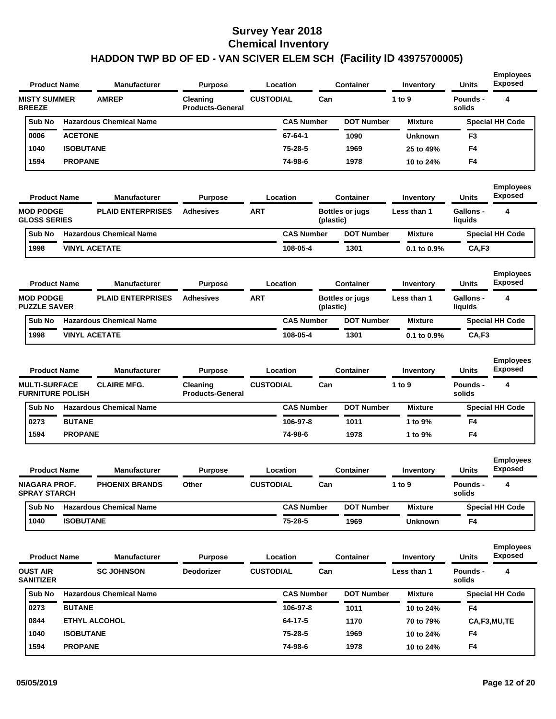| <b>CUSTODIAL</b><br><b>MISTY SUMMER</b><br><b>AMREP</b><br>Can<br>1 to 9<br>Pounds -<br>4<br>Cleaning<br><b>BREEZE</b><br><b>Products-General</b><br>solids<br><b>Hazardous Chemical Name</b><br><b>CAS Number</b><br><b>DOT Number</b><br>Sub No<br><b>Special HH Code</b><br><b>Mixture</b><br><b>ACETONE</b><br>$67 - 64 - 1$<br>0006<br>1090<br><b>Unknown</b><br>F <sub>3</sub><br><b>ISOBUTANE</b><br>1040<br>75-28-5<br>F4<br>1969<br>25 to 49%<br>1594<br><b>PROPANE</b><br>74-98-6<br>1978<br>F4<br>10 to 24%<br><b>Employees</b><br><b>Exposed</b><br>Location<br><b>Container</b><br><b>Units</b><br><b>Product Name</b><br><b>Manufacturer</b><br><b>Purpose</b><br>Inventory<br><b>PLAID ENTERPRISES</b><br><b>ART</b><br><b>MOD PODGE</b><br><b>Adhesives</b><br><b>Bottles or jugs</b><br>Less than 1<br><b>Gallons -</b><br>4<br><b>GLOSS SERIES</b><br>(plastic)<br>liquids<br><b>Hazardous Chemical Name</b><br><b>CAS Number</b><br><b>DOT Number</b><br>Sub No<br><b>Mixture</b><br><b>Special HH Code</b><br><b>VINYL ACETATE</b><br>1998<br>108-05-4<br>CA,F3<br>1301<br>0.1 to 0.9%<br><b>Employees</b><br><b>Exposed</b><br>Location<br><b>Container</b><br><b>Units</b><br><b>Product Name</b><br><b>Manufacturer</b><br><b>Purpose</b><br>Inventory<br><b>MOD PODGE</b><br><b>PLAID ENTERPRISES</b><br><b>Adhesives</b><br><b>ART</b><br><b>Gallons -</b><br>4<br><b>Bottles or jugs</b><br>Less than 1<br><b>PUZZLE SAVER</b><br>(plastic)<br>liquids<br><b>Hazardous Chemical Name</b><br><b>DOT Number</b><br>Sub No<br><b>CAS Number</b><br><b>Mixture</b><br><b>Special HH Code</b><br><b>VINYL ACETATE</b><br>1998<br>108-05-4<br>1301<br>CA,F3<br>0.1 to 0.9%<br><b>Employees</b><br><b>Exposed</b><br><b>Container</b><br>Units<br><b>Product Name</b><br><b>Manufacturer</b><br><b>Purpose</b><br>Location<br>Inventory<br><b>MULTI-SURFACE</b><br><b>CLAIRE MFG.</b><br><b>CUSTODIAL</b><br>Can<br>1 to 9<br>Pounds -<br>4<br>Cleaning<br><b>FURNITURE POLISH</b><br><b>Products-General</b><br>solids<br><b>Hazardous Chemical Name</b><br><b>CAS Number</b><br><b>DOT Number</b><br><b>Mixture</b><br><b>Special HH Code</b><br>Sub No<br><b>BUTANE</b><br>0273<br>106-97-8<br>1011<br>1 to 9%<br>F4<br>1594<br><b>PROPANE</b><br>74-98-6<br>1978<br>F4<br>1 to 9%<br><b>Employees</b><br><b>Exposed</b><br><b>Product Name</b><br><b>Manufacturer</b><br><b>Purpose</b><br>Location<br>Container<br>Inventory<br>Units<br>Can<br><b>NIAGARA PROF.</b><br><b>PHOENIX BRANDS</b><br>Other<br><b>CUSTODIAL</b><br>1 to 9<br>Pounds -<br>4<br><b>SPRAY STARCH</b><br>solids<br><b>Hazardous Chemical Name</b><br><b>CAS Number</b><br><b>DOT Number</b><br><b>Mixture</b><br><b>Special HH Code</b><br>Sub No<br><b>ISOBUTANE</b><br>75-28-5<br>1040<br>1969<br>F4<br><b>Unknown</b><br><b>Employees</b><br><b>Exposed</b><br>Container<br><b>Units</b><br><b>Product Name</b><br><b>Manufacturer</b><br><b>Purpose</b><br>Location<br>Inventory<br><b>OUST AIR</b><br><b>SC JOHNSON</b><br><b>Deodorizer</b><br><b>CUSTODIAL</b><br>Can<br>Pounds -<br>4<br>Less than 1<br><b>SANITIZER</b><br>solids<br>Sub No<br><b>Hazardous Chemical Name</b><br><b>CAS Number</b><br><b>DOT Number</b><br><b>Mixture</b><br><b>Special HH Code</b><br><b>BUTANE</b><br>106-97-8<br>0273<br>1011<br>F4<br>10 to 24%<br>0844<br><b>ETHYL ALCOHOL</b><br>$64 - 17 - 5$<br>1170<br>CA,F3,MU,TE<br>70 to 79%<br>1040<br><b>ISOBUTANE</b><br>75-28-5<br>1969<br>10 to 24%<br>F4<br>74-98-6<br>1594<br><b>PROPANE</b><br>1978<br>F4<br>10 to 24% | <b>Product Name</b> | <b>Manufacturer</b> | <b>Purpose</b> | Location | <b>Container</b> | Inventory | Units | <b>Employees</b><br><b>Exposed</b> |
|--------------------------------------------------------------------------------------------------------------------------------------------------------------------------------------------------------------------------------------------------------------------------------------------------------------------------------------------------------------------------------------------------------------------------------------------------------------------------------------------------------------------------------------------------------------------------------------------------------------------------------------------------------------------------------------------------------------------------------------------------------------------------------------------------------------------------------------------------------------------------------------------------------------------------------------------------------------------------------------------------------------------------------------------------------------------------------------------------------------------------------------------------------------------------------------------------------------------------------------------------------------------------------------------------------------------------------------------------------------------------------------------------------------------------------------------------------------------------------------------------------------------------------------------------------------------------------------------------------------------------------------------------------------------------------------------------------------------------------------------------------------------------------------------------------------------------------------------------------------------------------------------------------------------------------------------------------------------------------------------------------------------------------------------------------------------------------------------------------------------------------------------------------------------------------------------------------------------------------------------------------------------------------------------------------------------------------------------------------------------------------------------------------------------------------------------------------------------------------------------------------------------------------------------------------------------------------------------------------------------------------------------------------------------------------------------------------------------------------------------------------------------------------------------------------------------------------------------------------------------------------------------------------------------------------------------------------------------------------------------------------------------------------------------------------------------------------------------------------------------------------------------------------------------------------------------------------------------------------------------------------------------------------------------------------------------------------------------------------------------------------------------------------------------------------------------------------------------------------------------------------------------------------------------------------------------|---------------------|---------------------|----------------|----------|------------------|-----------|-------|------------------------------------|
|                                                                                                                                                                                                                                                                                                                                                                                                                                                                                                                                                                                                                                                                                                                                                                                                                                                                                                                                                                                                                                                                                                                                                                                                                                                                                                                                                                                                                                                                                                                                                                                                                                                                                                                                                                                                                                                                                                                                                                                                                                                                                                                                                                                                                                                                                                                                                                                                                                                                                                                                                                                                                                                                                                                                                                                                                                                                                                                                                                                                                                                                                                                                                                                                                                                                                                                                                                                                                                                                                                                                                                    |                     |                     |                |          |                  |           |       |                                    |
|                                                                                                                                                                                                                                                                                                                                                                                                                                                                                                                                                                                                                                                                                                                                                                                                                                                                                                                                                                                                                                                                                                                                                                                                                                                                                                                                                                                                                                                                                                                                                                                                                                                                                                                                                                                                                                                                                                                                                                                                                                                                                                                                                                                                                                                                                                                                                                                                                                                                                                                                                                                                                                                                                                                                                                                                                                                                                                                                                                                                                                                                                                                                                                                                                                                                                                                                                                                                                                                                                                                                                                    |                     |                     |                |          |                  |           |       |                                    |
|                                                                                                                                                                                                                                                                                                                                                                                                                                                                                                                                                                                                                                                                                                                                                                                                                                                                                                                                                                                                                                                                                                                                                                                                                                                                                                                                                                                                                                                                                                                                                                                                                                                                                                                                                                                                                                                                                                                                                                                                                                                                                                                                                                                                                                                                                                                                                                                                                                                                                                                                                                                                                                                                                                                                                                                                                                                                                                                                                                                                                                                                                                                                                                                                                                                                                                                                                                                                                                                                                                                                                                    |                     |                     |                |          |                  |           |       |                                    |
|                                                                                                                                                                                                                                                                                                                                                                                                                                                                                                                                                                                                                                                                                                                                                                                                                                                                                                                                                                                                                                                                                                                                                                                                                                                                                                                                                                                                                                                                                                                                                                                                                                                                                                                                                                                                                                                                                                                                                                                                                                                                                                                                                                                                                                                                                                                                                                                                                                                                                                                                                                                                                                                                                                                                                                                                                                                                                                                                                                                                                                                                                                                                                                                                                                                                                                                                                                                                                                                                                                                                                                    |                     |                     |                |          |                  |           |       |                                    |
|                                                                                                                                                                                                                                                                                                                                                                                                                                                                                                                                                                                                                                                                                                                                                                                                                                                                                                                                                                                                                                                                                                                                                                                                                                                                                                                                                                                                                                                                                                                                                                                                                                                                                                                                                                                                                                                                                                                                                                                                                                                                                                                                                                                                                                                                                                                                                                                                                                                                                                                                                                                                                                                                                                                                                                                                                                                                                                                                                                                                                                                                                                                                                                                                                                                                                                                                                                                                                                                                                                                                                                    |                     |                     |                |          |                  |           |       |                                    |
|                                                                                                                                                                                                                                                                                                                                                                                                                                                                                                                                                                                                                                                                                                                                                                                                                                                                                                                                                                                                                                                                                                                                                                                                                                                                                                                                                                                                                                                                                                                                                                                                                                                                                                                                                                                                                                                                                                                                                                                                                                                                                                                                                                                                                                                                                                                                                                                                                                                                                                                                                                                                                                                                                                                                                                                                                                                                                                                                                                                                                                                                                                                                                                                                                                                                                                                                                                                                                                                                                                                                                                    |                     |                     |                |          |                  |           |       |                                    |
|                                                                                                                                                                                                                                                                                                                                                                                                                                                                                                                                                                                                                                                                                                                                                                                                                                                                                                                                                                                                                                                                                                                                                                                                                                                                                                                                                                                                                                                                                                                                                                                                                                                                                                                                                                                                                                                                                                                                                                                                                                                                                                                                                                                                                                                                                                                                                                                                                                                                                                                                                                                                                                                                                                                                                                                                                                                                                                                                                                                                                                                                                                                                                                                                                                                                                                                                                                                                                                                                                                                                                                    |                     |                     |                |          |                  |           |       |                                    |
|                                                                                                                                                                                                                                                                                                                                                                                                                                                                                                                                                                                                                                                                                                                                                                                                                                                                                                                                                                                                                                                                                                                                                                                                                                                                                                                                                                                                                                                                                                                                                                                                                                                                                                                                                                                                                                                                                                                                                                                                                                                                                                                                                                                                                                                                                                                                                                                                                                                                                                                                                                                                                                                                                                                                                                                                                                                                                                                                                                                                                                                                                                                                                                                                                                                                                                                                                                                                                                                                                                                                                                    |                     |                     |                |          |                  |           |       |                                    |
|                                                                                                                                                                                                                                                                                                                                                                                                                                                                                                                                                                                                                                                                                                                                                                                                                                                                                                                                                                                                                                                                                                                                                                                                                                                                                                                                                                                                                                                                                                                                                                                                                                                                                                                                                                                                                                                                                                                                                                                                                                                                                                                                                                                                                                                                                                                                                                                                                                                                                                                                                                                                                                                                                                                                                                                                                                                                                                                                                                                                                                                                                                                                                                                                                                                                                                                                                                                                                                                                                                                                                                    |                     |                     |                |          |                  |           |       |                                    |
|                                                                                                                                                                                                                                                                                                                                                                                                                                                                                                                                                                                                                                                                                                                                                                                                                                                                                                                                                                                                                                                                                                                                                                                                                                                                                                                                                                                                                                                                                                                                                                                                                                                                                                                                                                                                                                                                                                                                                                                                                                                                                                                                                                                                                                                                                                                                                                                                                                                                                                                                                                                                                                                                                                                                                                                                                                                                                                                                                                                                                                                                                                                                                                                                                                                                                                                                                                                                                                                                                                                                                                    |                     |                     |                |          |                  |           |       |                                    |
|                                                                                                                                                                                                                                                                                                                                                                                                                                                                                                                                                                                                                                                                                                                                                                                                                                                                                                                                                                                                                                                                                                                                                                                                                                                                                                                                                                                                                                                                                                                                                                                                                                                                                                                                                                                                                                                                                                                                                                                                                                                                                                                                                                                                                                                                                                                                                                                                                                                                                                                                                                                                                                                                                                                                                                                                                                                                                                                                                                                                                                                                                                                                                                                                                                                                                                                                                                                                                                                                                                                                                                    |                     |                     |                |          |                  |           |       |                                    |
|                                                                                                                                                                                                                                                                                                                                                                                                                                                                                                                                                                                                                                                                                                                                                                                                                                                                                                                                                                                                                                                                                                                                                                                                                                                                                                                                                                                                                                                                                                                                                                                                                                                                                                                                                                                                                                                                                                                                                                                                                                                                                                                                                                                                                                                                                                                                                                                                                                                                                                                                                                                                                                                                                                                                                                                                                                                                                                                                                                                                                                                                                                                                                                                                                                                                                                                                                                                                                                                                                                                                                                    |                     |                     |                |          |                  |           |       |                                    |
|                                                                                                                                                                                                                                                                                                                                                                                                                                                                                                                                                                                                                                                                                                                                                                                                                                                                                                                                                                                                                                                                                                                                                                                                                                                                                                                                                                                                                                                                                                                                                                                                                                                                                                                                                                                                                                                                                                                                                                                                                                                                                                                                                                                                                                                                                                                                                                                                                                                                                                                                                                                                                                                                                                                                                                                                                                                                                                                                                                                                                                                                                                                                                                                                                                                                                                                                                                                                                                                                                                                                                                    |                     |                     |                |          |                  |           |       |                                    |
|                                                                                                                                                                                                                                                                                                                                                                                                                                                                                                                                                                                                                                                                                                                                                                                                                                                                                                                                                                                                                                                                                                                                                                                                                                                                                                                                                                                                                                                                                                                                                                                                                                                                                                                                                                                                                                                                                                                                                                                                                                                                                                                                                                                                                                                                                                                                                                                                                                                                                                                                                                                                                                                                                                                                                                                                                                                                                                                                                                                                                                                                                                                                                                                                                                                                                                                                                                                                                                                                                                                                                                    |                     |                     |                |          |                  |           |       |                                    |
|                                                                                                                                                                                                                                                                                                                                                                                                                                                                                                                                                                                                                                                                                                                                                                                                                                                                                                                                                                                                                                                                                                                                                                                                                                                                                                                                                                                                                                                                                                                                                                                                                                                                                                                                                                                                                                                                                                                                                                                                                                                                                                                                                                                                                                                                                                                                                                                                                                                                                                                                                                                                                                                                                                                                                                                                                                                                                                                                                                                                                                                                                                                                                                                                                                                                                                                                                                                                                                                                                                                                                                    |                     |                     |                |          |                  |           |       |                                    |
|                                                                                                                                                                                                                                                                                                                                                                                                                                                                                                                                                                                                                                                                                                                                                                                                                                                                                                                                                                                                                                                                                                                                                                                                                                                                                                                                                                                                                                                                                                                                                                                                                                                                                                                                                                                                                                                                                                                                                                                                                                                                                                                                                                                                                                                                                                                                                                                                                                                                                                                                                                                                                                                                                                                                                                                                                                                                                                                                                                                                                                                                                                                                                                                                                                                                                                                                                                                                                                                                                                                                                                    |                     |                     |                |          |                  |           |       |                                    |
|                                                                                                                                                                                                                                                                                                                                                                                                                                                                                                                                                                                                                                                                                                                                                                                                                                                                                                                                                                                                                                                                                                                                                                                                                                                                                                                                                                                                                                                                                                                                                                                                                                                                                                                                                                                                                                                                                                                                                                                                                                                                                                                                                                                                                                                                                                                                                                                                                                                                                                                                                                                                                                                                                                                                                                                                                                                                                                                                                                                                                                                                                                                                                                                                                                                                                                                                                                                                                                                                                                                                                                    |                     |                     |                |          |                  |           |       |                                    |
|                                                                                                                                                                                                                                                                                                                                                                                                                                                                                                                                                                                                                                                                                                                                                                                                                                                                                                                                                                                                                                                                                                                                                                                                                                                                                                                                                                                                                                                                                                                                                                                                                                                                                                                                                                                                                                                                                                                                                                                                                                                                                                                                                                                                                                                                                                                                                                                                                                                                                                                                                                                                                                                                                                                                                                                                                                                                                                                                                                                                                                                                                                                                                                                                                                                                                                                                                                                                                                                                                                                                                                    |                     |                     |                |          |                  |           |       |                                    |
|                                                                                                                                                                                                                                                                                                                                                                                                                                                                                                                                                                                                                                                                                                                                                                                                                                                                                                                                                                                                                                                                                                                                                                                                                                                                                                                                                                                                                                                                                                                                                                                                                                                                                                                                                                                                                                                                                                                                                                                                                                                                                                                                                                                                                                                                                                                                                                                                                                                                                                                                                                                                                                                                                                                                                                                                                                                                                                                                                                                                                                                                                                                                                                                                                                                                                                                                                                                                                                                                                                                                                                    |                     |                     |                |          |                  |           |       |                                    |
|                                                                                                                                                                                                                                                                                                                                                                                                                                                                                                                                                                                                                                                                                                                                                                                                                                                                                                                                                                                                                                                                                                                                                                                                                                                                                                                                                                                                                                                                                                                                                                                                                                                                                                                                                                                                                                                                                                                                                                                                                                                                                                                                                                                                                                                                                                                                                                                                                                                                                                                                                                                                                                                                                                                                                                                                                                                                                                                                                                                                                                                                                                                                                                                                                                                                                                                                                                                                                                                                                                                                                                    |                     |                     |                |          |                  |           |       |                                    |
|                                                                                                                                                                                                                                                                                                                                                                                                                                                                                                                                                                                                                                                                                                                                                                                                                                                                                                                                                                                                                                                                                                                                                                                                                                                                                                                                                                                                                                                                                                                                                                                                                                                                                                                                                                                                                                                                                                                                                                                                                                                                                                                                                                                                                                                                                                                                                                                                                                                                                                                                                                                                                                                                                                                                                                                                                                                                                                                                                                                                                                                                                                                                                                                                                                                                                                                                                                                                                                                                                                                                                                    |                     |                     |                |          |                  |           |       |                                    |
|                                                                                                                                                                                                                                                                                                                                                                                                                                                                                                                                                                                                                                                                                                                                                                                                                                                                                                                                                                                                                                                                                                                                                                                                                                                                                                                                                                                                                                                                                                                                                                                                                                                                                                                                                                                                                                                                                                                                                                                                                                                                                                                                                                                                                                                                                                                                                                                                                                                                                                                                                                                                                                                                                                                                                                                                                                                                                                                                                                                                                                                                                                                                                                                                                                                                                                                                                                                                                                                                                                                                                                    |                     |                     |                |          |                  |           |       |                                    |
|                                                                                                                                                                                                                                                                                                                                                                                                                                                                                                                                                                                                                                                                                                                                                                                                                                                                                                                                                                                                                                                                                                                                                                                                                                                                                                                                                                                                                                                                                                                                                                                                                                                                                                                                                                                                                                                                                                                                                                                                                                                                                                                                                                                                                                                                                                                                                                                                                                                                                                                                                                                                                                                                                                                                                                                                                                                                                                                                                                                                                                                                                                                                                                                                                                                                                                                                                                                                                                                                                                                                                                    |                     |                     |                |          |                  |           |       |                                    |
|                                                                                                                                                                                                                                                                                                                                                                                                                                                                                                                                                                                                                                                                                                                                                                                                                                                                                                                                                                                                                                                                                                                                                                                                                                                                                                                                                                                                                                                                                                                                                                                                                                                                                                                                                                                                                                                                                                                                                                                                                                                                                                                                                                                                                                                                                                                                                                                                                                                                                                                                                                                                                                                                                                                                                                                                                                                                                                                                                                                                                                                                                                                                                                                                                                                                                                                                                                                                                                                                                                                                                                    |                     |                     |                |          |                  |           |       |                                    |
|                                                                                                                                                                                                                                                                                                                                                                                                                                                                                                                                                                                                                                                                                                                                                                                                                                                                                                                                                                                                                                                                                                                                                                                                                                                                                                                                                                                                                                                                                                                                                                                                                                                                                                                                                                                                                                                                                                                                                                                                                                                                                                                                                                                                                                                                                                                                                                                                                                                                                                                                                                                                                                                                                                                                                                                                                                                                                                                                                                                                                                                                                                                                                                                                                                                                                                                                                                                                                                                                                                                                                                    |                     |                     |                |          |                  |           |       |                                    |
|                                                                                                                                                                                                                                                                                                                                                                                                                                                                                                                                                                                                                                                                                                                                                                                                                                                                                                                                                                                                                                                                                                                                                                                                                                                                                                                                                                                                                                                                                                                                                                                                                                                                                                                                                                                                                                                                                                                                                                                                                                                                                                                                                                                                                                                                                                                                                                                                                                                                                                                                                                                                                                                                                                                                                                                                                                                                                                                                                                                                                                                                                                                                                                                                                                                                                                                                                                                                                                                                                                                                                                    |                     |                     |                |          |                  |           |       |                                    |
|                                                                                                                                                                                                                                                                                                                                                                                                                                                                                                                                                                                                                                                                                                                                                                                                                                                                                                                                                                                                                                                                                                                                                                                                                                                                                                                                                                                                                                                                                                                                                                                                                                                                                                                                                                                                                                                                                                                                                                                                                                                                                                                                                                                                                                                                                                                                                                                                                                                                                                                                                                                                                                                                                                                                                                                                                                                                                                                                                                                                                                                                                                                                                                                                                                                                                                                                                                                                                                                                                                                                                                    |                     |                     |                |          |                  |           |       |                                    |
|                                                                                                                                                                                                                                                                                                                                                                                                                                                                                                                                                                                                                                                                                                                                                                                                                                                                                                                                                                                                                                                                                                                                                                                                                                                                                                                                                                                                                                                                                                                                                                                                                                                                                                                                                                                                                                                                                                                                                                                                                                                                                                                                                                                                                                                                                                                                                                                                                                                                                                                                                                                                                                                                                                                                                                                                                                                                                                                                                                                                                                                                                                                                                                                                                                                                                                                                                                                                                                                                                                                                                                    |                     |                     |                |          |                  |           |       |                                    |
|                                                                                                                                                                                                                                                                                                                                                                                                                                                                                                                                                                                                                                                                                                                                                                                                                                                                                                                                                                                                                                                                                                                                                                                                                                                                                                                                                                                                                                                                                                                                                                                                                                                                                                                                                                                                                                                                                                                                                                                                                                                                                                                                                                                                                                                                                                                                                                                                                                                                                                                                                                                                                                                                                                                                                                                                                                                                                                                                                                                                                                                                                                                                                                                                                                                                                                                                                                                                                                                                                                                                                                    |                     |                     |                |          |                  |           |       |                                    |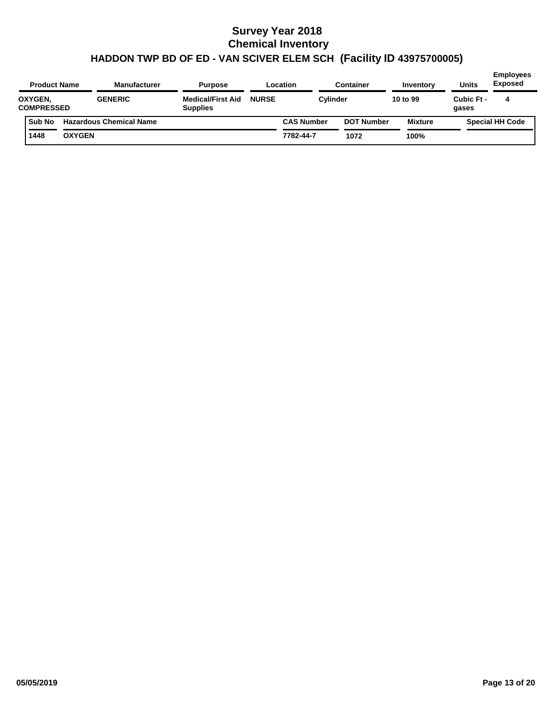| <b>Product Name</b>          |               | <b>Manufacturer</b>            | <b>Purpose</b>                              |              | Location          | <b>Container</b>  | Inventory | <b>Units</b>        | <b>Employees</b><br><b>Exposed</b> |
|------------------------------|---------------|--------------------------------|---------------------------------------------|--------------|-------------------|-------------------|-----------|---------------------|------------------------------------|
| OXYGEN,<br><b>COMPRESSED</b> |               | <b>GENERIC</b>                 | <b>Medical/First Aid</b><br><b>Supplies</b> | <b>NURSE</b> | Cylinder          |                   | 10 to 99  | Cubic Ft -<br>gases | 4                                  |
| <b>Sub No</b>                |               | <b>Hazardous Chemical Name</b> |                                             |              | <b>CAS Number</b> | <b>DOT Number</b> | Mixture   |                     | <b>Special HH Code</b>             |
| 1448                         | <b>OXYGEN</b> |                                |                                             |              | 7782-44-7         | 1072              | 100%      |                     |                                    |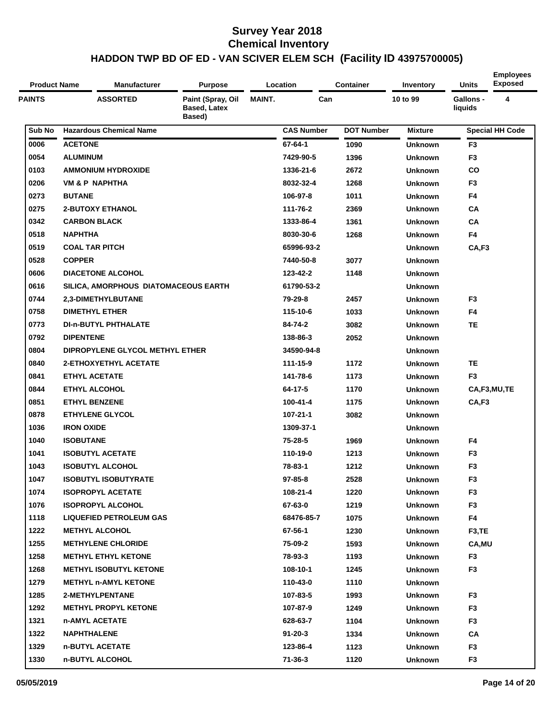| <b>Product Name</b> | Manufacturer                         | <b>Purpose</b>                                     |               | Location          | <b>Container</b>  | Inventory      | Units                | <b>Employees</b><br><b>Exposed</b> |
|---------------------|--------------------------------------|----------------------------------------------------|---------------|-------------------|-------------------|----------------|----------------------|------------------------------------|
| <b>PAINTS</b>       | <b>ASSORTED</b>                      | Paint (Spray, Oil<br><b>Based, Latex</b><br>Based) | <b>MAINT.</b> | Can               |                   | 10 to 99       | Gallons -<br>liquids | 4                                  |
| Sub No              | <b>Hazardous Chemical Name</b>       |                                                    |               | <b>CAS Number</b> | <b>DOT Number</b> | <b>Mixture</b> |                      | <b>Special HH Code</b>             |
| 0006                | <b>ACETONE</b>                       |                                                    |               | 67-64-1           | 1090              | <b>Unknown</b> | F <sub>3</sub>       |                                    |
| 0054                | <b>ALUMINUM</b>                      |                                                    |               | 7429-90-5         | 1396              | <b>Unknown</b> | F <sub>3</sub>       |                                    |
| 0103                | <b>AMMONIUM HYDROXIDE</b>            |                                                    |               | 1336-21-6         | 2672              | <b>Unknown</b> | <b>CO</b>            |                                    |
| 0206                | <b>VM &amp; P NAPHTHA</b>            |                                                    |               | 8032-32-4         | 1268              | <b>Unknown</b> | F <sub>3</sub>       |                                    |
| 0273                | <b>BUTANE</b>                        |                                                    |               | 106-97-8          | 1011              | <b>Unknown</b> | F4                   |                                    |
| 0275                | <b>2-BUTOXY ETHANOL</b>              |                                                    |               | 111-76-2          | 2369              | <b>Unknown</b> | CА                   |                                    |
| 0342                | <b>CARBON BLACK</b>                  |                                                    |               | 1333-86-4         | 1361              | <b>Unknown</b> | CA                   |                                    |
| 0518                | <b>NAPHTHA</b>                       |                                                    |               | 8030-30-6         | 1268              | <b>Unknown</b> | F4                   |                                    |
| 0519                | <b>COAL TAR PITCH</b>                |                                                    |               | 65996-93-2        |                   | <b>Unknown</b> | CA,F3                |                                    |
| 0528                | <b>COPPER</b>                        |                                                    |               | 7440-50-8         | 3077              | <b>Unknown</b> |                      |                                    |
| 0606                | <b>DIACETONE ALCOHOL</b>             |                                                    |               | 123-42-2          | 1148              | <b>Unknown</b> |                      |                                    |
| 0616                | SILICA, AMORPHOUS DIATOMACEOUS EARTH |                                                    |               | 61790-53-2        |                   | <b>Unknown</b> |                      |                                    |
| 0744                | 2,3-DIMETHYLBUTANE                   |                                                    |               | 79-29-8           | 2457              | <b>Unknown</b> | F <sub>3</sub>       |                                    |
| 0758                | <b>DIMETHYL ETHER</b>                |                                                    |               | 115-10-6          | 1033              | <b>Unknown</b> | F4                   |                                    |
| 0773                | <b>DI-n-BUTYL PHTHALATE</b>          |                                                    |               | 84-74-2           | 3082              | <b>Unknown</b> | <b>TE</b>            |                                    |
| 0792                | <b>DIPENTENE</b>                     |                                                    |               | 138-86-3          | 2052              | <b>Unknown</b> |                      |                                    |
| 0804                | DIPROPYLENE GLYCOL METHYL ETHER      |                                                    |               | 34590-94-8        |                   | <b>Unknown</b> |                      |                                    |
| 0840                | 2-ETHOXYETHYL ACETATE                |                                                    |               | 111-15-9          | 1172              | <b>Unknown</b> | <b>TE</b>            |                                    |
| 0841                | <b>ETHYL ACETATE</b>                 |                                                    |               | 141-78-6          | 1173              | <b>Unknown</b> | F <sub>3</sub>       |                                    |
| 0844                | <b>ETHYL ALCOHOL</b>                 |                                                    |               | 64-17-5           | 1170              | <b>Unknown</b> |                      | CA,F3,MU,TE                        |
| 0851                | <b>ETHYL BENZENE</b>                 |                                                    |               | 100-41-4          | 1175              | <b>Unknown</b> | CA,F3                |                                    |
| 0878                | <b>ETHYLENE GLYCOL</b>               |                                                    |               | 107-21-1          | 3082              | <b>Unknown</b> |                      |                                    |
| 1036                | <b>IRON OXIDE</b>                    |                                                    |               | 1309-37-1         |                   | <b>Unknown</b> |                      |                                    |
| 1040                | <b>ISOBUTANE</b>                     |                                                    |               | $75 - 28 - 5$     | 1969              | <b>Unknown</b> | F4                   |                                    |
| 1041                | <b>ISOBUTYL ACETATE</b>              |                                                    |               | 110-19-0          | 1213              | <b>Unknown</b> | F <sub>3</sub>       |                                    |
| 1043                | <b>ISOBUTYL ALCOHOL</b>              |                                                    |               | 78-83-1           | 1212              | <b>Unknown</b> | F3                   |                                    |
| 1047                | <b>ISOBUTYL ISOBUTYRATE</b>          |                                                    |               | 97-85-8           | 2528              | <b>Unknown</b> | F <sub>3</sub>       |                                    |
| 1074                | <b>ISOPROPYL ACETATE</b>             |                                                    |               | 108-21-4          | 1220              | <b>Unknown</b> | F3                   |                                    |
| 1076                | <b>ISOPROPYL ALCOHOL</b>             |                                                    |               | 67-63-0           | 1219              | <b>Unknown</b> | F <sub>3</sub>       |                                    |
| 1118                | <b>LIQUEFIED PETROLEUM GAS</b>       |                                                    |               | 68476-85-7        | 1075              | <b>Unknown</b> | F4                   |                                    |
| 1222                | <b>METHYL ALCOHOL</b>                |                                                    |               | 67-56-1           | 1230              | <b>Unknown</b> | F <sub>3</sub> ,TE   |                                    |
| 1255                | <b>METHYLENE CHLORIDE</b>            |                                                    |               | 75-09-2           | 1593              | <b>Unknown</b> | CA, MU               |                                    |
| 1258                | <b>METHYL ETHYL KETONE</b>           |                                                    |               | 78-93-3           | 1193              | <b>Unknown</b> | F <sub>3</sub>       |                                    |
| 1268                | <b>METHYL ISOBUTYL KETONE</b>        |                                                    |               | 108-10-1          | 1245              | <b>Unknown</b> | F <sub>3</sub>       |                                    |
| 1279                | <b>METHYL n-AMYL KETONE</b>          |                                                    |               | 110-43-0          | 1110              | <b>Unknown</b> |                      |                                    |
| 1285                | 2-METHYLPENTANE                      |                                                    |               | 107-83-5          | 1993              | <b>Unknown</b> | F <sub>3</sub>       |                                    |
| 1292                | <b>METHYL PROPYL KETONE</b>          |                                                    |               | 107-87-9          | 1249              | <b>Unknown</b> | F <sub>3</sub>       |                                    |
| 1321                | n-AMYL ACETATE                       |                                                    |               | 628-63-7          | 1104              | <b>Unknown</b> | F <sub>3</sub>       |                                    |
| 1322                | <b>NAPHTHALENE</b>                   |                                                    |               | $91 - 20 - 3$     | 1334              | <b>Unknown</b> | CA                   |                                    |
| 1329                | n-BUTYL ACETATE                      |                                                    |               | 123-86-4          | 1123              | <b>Unknown</b> | F <sub>3</sub>       |                                    |
| 1330                | n-BUTYL ALCOHOL                      |                                                    |               | 71-36-3           | 1120              | <b>Unknown</b> | F <sub>3</sub>       |                                    |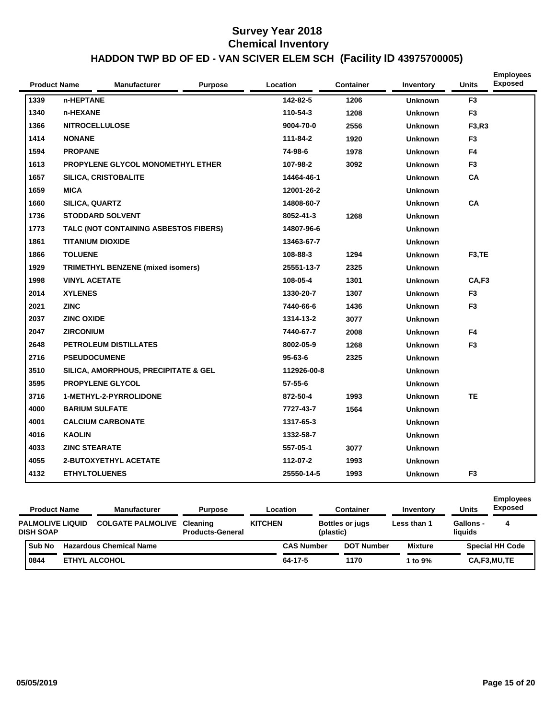| <b>Product Name</b> | <b>Manufacturer</b>                      | <b>Purpose</b> | Location      | <b>Container</b> | Inventory      | <b>Units</b>   | <b>Employees</b><br><b>Exposed</b> |
|---------------------|------------------------------------------|----------------|---------------|------------------|----------------|----------------|------------------------------------|
| 1339                | n-HEPTANE                                |                | 142-82-5      | 1206             | <b>Unknown</b> | F <sub>3</sub> |                                    |
| 1340                | n-HEXANE                                 |                | 110-54-3      | 1208             | <b>Unknown</b> | F <sub>3</sub> |                                    |
| 1366                | <b>NITROCELLULOSE</b>                    |                | 9004-70-0     | 2556             | <b>Unknown</b> | F3,R3          |                                    |
| 1414                | <b>NONANE</b>                            |                | 111-84-2      | 1920             | <b>Unknown</b> | F <sub>3</sub> |                                    |
| 1594                | <b>PROPANE</b>                           |                | 74-98-6       | 1978             | <b>Unknown</b> | F <sub>4</sub> |                                    |
| 1613                | PROPYLENE GLYCOL MONOMETHYL ETHER        |                | 107-98-2      | 3092             | <b>Unknown</b> | F <sub>3</sub> |                                    |
| 1657                | <b>SILICA, CRISTOBALITE</b>              |                | 14464-46-1    |                  | <b>Unknown</b> | CA             |                                    |
| 1659                | <b>MICA</b>                              |                | 12001-26-2    |                  | <b>Unknown</b> |                |                                    |
| 1660                | SILICA, QUARTZ                           |                | 14808-60-7    |                  | <b>Unknown</b> | <b>CA</b>      |                                    |
| 1736                | <b>STODDARD SOLVENT</b>                  |                | 8052-41-3     | 1268             | <b>Unknown</b> |                |                                    |
| 1773                | TALC (NOT CONTAINING ASBESTOS FIBERS)    |                | 14807-96-6    |                  | <b>Unknown</b> |                |                                    |
| 1861                | <b>TITANIUM DIOXIDE</b>                  |                | 13463-67-7    |                  | <b>Unknown</b> |                |                                    |
| 1866                | <b>TOLUENE</b>                           |                | 108-88-3      | 1294             | <b>Unknown</b> | F3,TE          |                                    |
| 1929                | <b>TRIMETHYL BENZENE (mixed isomers)</b> |                | 25551-13-7    | 2325             | <b>Unknown</b> |                |                                    |
| 1998                | <b>VINYL ACETATE</b>                     |                | 108-05-4      | 1301             | <b>Unknown</b> | CA,F3          |                                    |
| 2014                | <b>XYLENES</b>                           |                | 1330-20-7     | 1307             | <b>Unknown</b> | F <sub>3</sub> |                                    |
| 2021                | <b>ZINC</b>                              |                | 7440-66-6     | 1436             | <b>Unknown</b> | F <sub>3</sub> |                                    |
| 2037                | <b>ZINC OXIDE</b>                        |                | 1314-13-2     | 3077             | <b>Unknown</b> |                |                                    |
| 2047                | <b>ZIRCONIUM</b>                         |                | 7440-67-7     | 2008             | <b>Unknown</b> | F4             |                                    |
| 2648                | PETROLEUM DISTILLATES                    |                | 8002-05-9     | 1268             | <b>Unknown</b> | F <sub>3</sub> |                                    |
| 2716                | <b>PSEUDOCUMENE</b>                      |                | $95 - 63 - 6$ | 2325             | <b>Unknown</b> |                |                                    |
| 3510                | SILICA, AMORPHOUS, PRECIPITATE & GEL     |                | 112926-00-8   |                  | <b>Unknown</b> |                |                                    |
| 3595                | <b>PROPYLENE GLYCOL</b>                  |                | $57 - 55 - 6$ |                  | <b>Unknown</b> |                |                                    |
| 3716                | <b>1-METHYL-2-PYRROLIDONE</b>            |                | 872-50-4      | 1993             | <b>Unknown</b> | <b>TE</b>      |                                    |
| 4000                | <b>BARIUM SULFATE</b>                    |                | 7727-43-7     | 1564             | <b>Unknown</b> |                |                                    |
| 4001                | <b>CALCIUM CARBONATE</b>                 |                | 1317-65-3     |                  | <b>Unknown</b> |                |                                    |
| 4016                | <b>KAOLIN</b>                            |                | 1332-58-7     |                  | <b>Unknown</b> |                |                                    |
| 4033                | <b>ZINC STEARATE</b>                     |                | 557-05-1      | 3077             | <b>Unknown</b> |                |                                    |
| 4055                | 2-BUTOXYETHYL ACETATE                    |                | 112-07-2      | 1993             | <b>Unknown</b> |                |                                    |
| 4132                | <b>ETHYLTOLUENES</b>                     |                | 25550-14-5    | 1993             | <b>Unknown</b> | F <sub>3</sub> |                                    |

| <b>Product Name</b>                         | <b>Manufacturer</b>               | <b>Purpose</b>          |                | Location          |           | <b>Container</b>       | Inventory      | <b>Units</b>                | <b>Employees</b><br><b>Exposed</b> |
|---------------------------------------------|-----------------------------------|-------------------------|----------------|-------------------|-----------|------------------------|----------------|-----------------------------|------------------------------------|
| <b>PALMOLIVE LIQUID</b><br><b>DISH SOAP</b> | <b>COLGATE PALMOLIVE Cleaning</b> | <b>Products-General</b> | <b>KITCHEN</b> |                   | (plastic) | <b>Bottles or jugs</b> | Less than 1    | <b>Gallons -</b><br>liquids | 4                                  |
| <b>Sub No</b>                               | <b>Hazardous Chemical Name</b>    |                         |                | <b>CAS Number</b> |           | <b>DOT Number</b>      | <b>Mixture</b> |                             | <b>Special HH Code</b>             |
| 0844                                        | <b>ETHYL ALCOHOL</b>              |                         |                | 64-17-5           |           | 1170                   | 1 to $9\%$     |                             | CA,F3,MU,TE                        |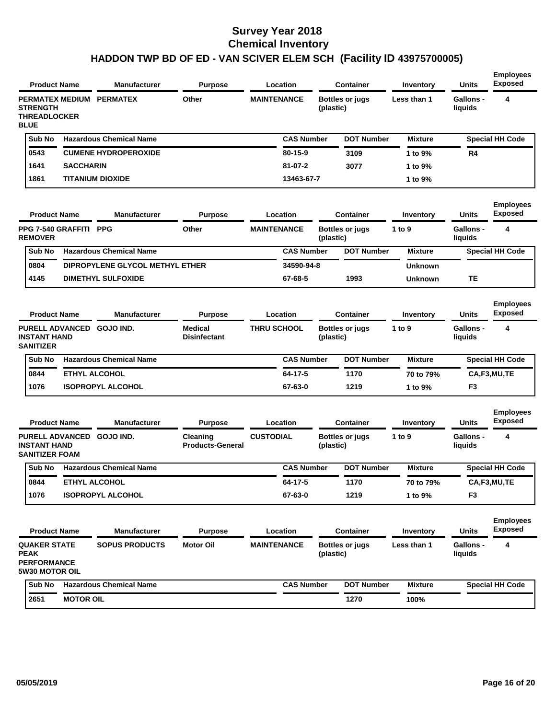| <b>PERMATEX MEDIUM</b><br>Other<br><b>MAINTENANCE</b><br><b>Gallons -</b><br>4<br><b>PERMATEX</b><br><b>Bottles or jugs</b><br>Less than 1<br><b>STRENGTH</b><br>(plastic)<br>liquids<br><b>THREADLOCKER</b><br><b>BLUE</b><br>Sub No<br><b>Hazardous Chemical Name</b><br><b>CAS Number</b><br><b>DOT Number</b><br><b>Special HH Code</b><br><b>Mixture</b><br><b>CUMENE HYDROPEROXIDE</b><br>0543<br>80-15-9<br>3109<br>R4<br>1 to 9%<br><b>SACCHARIN</b><br>$81 - 07 - 2$<br>1641<br>3077<br>1 to 9%<br>1861<br><b>TITANIUM DIOXIDE</b><br>13463-67-7<br>1 to 9%<br><b>Employees</b><br><b>Exposed</b><br><b>Manufacturer</b><br>Units<br><b>Product Name</b><br><b>Purpose</b><br>Location<br><b>Container</b><br>Inventory<br><b>PPG 7-540 GRAFFITI</b><br><b>PPG</b><br>Other<br><b>MAINTENANCE</b><br><b>Gallons -</b><br>4<br>Bottles or jugs<br>1 to 9<br><b>REMOVER</b><br>(plastic)<br>liquids<br><b>Hazardous Chemical Name</b><br><b>CAS Number</b><br>Sub No<br><b>DOT Number</b><br><b>Mixture</b><br><b>Special HH Code</b><br>0804<br>DIPROPYLENE GLYCOL METHYL ETHER<br>34590-94-8<br><b>Unknown</b><br>4145<br><b>DIMETHYL SULFOXIDE</b><br>67-68-5<br>1993<br>TE<br><b>Unknown</b><br><b>Employees</b><br><b>Exposed</b><br><b>Product Name</b><br><b>Manufacturer</b><br><b>Units</b><br><b>Purpose</b><br>Location<br><b>Container</b><br>Inventory<br>4<br><b>GOJO IND.</b><br>Medical<br><b>THRU SCHOOL</b><br><b>Gallons -</b><br><b>PURELL ADVANCED</b><br>Bottles or jugs<br>1 to $9$<br><b>INSTANT HAND</b><br><b>Disinfectant</b><br>(plastic)<br>liquids<br><b>SANITIZER</b><br><b>Hazardous Chemical Name</b><br>Sub No<br><b>CAS Number</b><br><b>DOT Number</b><br><b>Mixture</b><br><b>Special HH Code</b><br><b>ETHYL ALCOHOL</b><br>64-17-5<br>0844<br>1170<br>70 to 79%<br>CA,F3,MU,TE<br>1076<br><b>ISOPROPYL ALCOHOL</b><br>67-63-0<br>1219<br>F3<br>1 to 9%<br><b>Employees</b><br><b>Exposed</b><br><b>Product Name</b><br><b>Manufacturer</b><br>Location<br>Units<br><b>Purpose</b><br><b>Container</b><br>Inventory<br><b>PURELL ADVANCED</b><br><b>GOJO IND.</b><br><b>CUSTODIAL</b><br><b>Gallons -</b><br>4<br>Cleaning<br>Bottles or jugs<br>1 to $9$<br><b>INSTANT HAND</b><br><b>Products-General</b><br>(plastic)<br>liquids<br><b>SANITIZER FOAM</b><br><b>Hazardous Chemical Name</b><br><b>CAS Number</b><br><b>DOT Number</b><br><b>Special HH Code</b><br>Sub No<br><b>Mixture</b><br>0844<br>64-17-5<br><b>ETHYL ALCOHOL</b><br>1170<br>70 to 79%<br>CA,F3,MU,TE<br>1076<br><b>ISOPROPYL ALCOHOL</b><br>67-63-0<br>1219<br>1 to 9%<br>F3<br><b>Employees</b><br><b>Exposed</b><br><b>Units</b><br><b>Product Name</b><br><b>Manufacturer</b><br><b>Purpose</b><br>Location<br><b>Container</b><br>Inventory<br><b>QUAKER STATE</b><br><b>SOPUS PRODUCTS</b><br><b>Motor Oil</b><br><b>MAINTENANCE</b><br><b>Bottles or jugs</b><br><b>Gallons -</b><br>4<br>Less than 1<br><b>PEAK</b><br>liquids<br>(plastic)<br><b>PERFORMANCE</b><br>5W30 MOTOR OIL<br><b>Hazardous Chemical Name</b><br><b>CAS Number</b><br><b>DOT Number</b><br>Sub No<br><b>Mixture</b><br><b>Special HH Code</b><br><b>MOTOR OIL</b><br>2651<br>1270 | <b>Product Name</b> | <b>Manufacturer</b> | <b>Purpose</b> | Location | <b>Container</b> | Inventory | <b>Units</b> | <b>Employees</b><br><b>Exposed</b> |
|----------------------------------------------------------------------------------------------------------------------------------------------------------------------------------------------------------------------------------------------------------------------------------------------------------------------------------------------------------------------------------------------------------------------------------------------------------------------------------------------------------------------------------------------------------------------------------------------------------------------------------------------------------------------------------------------------------------------------------------------------------------------------------------------------------------------------------------------------------------------------------------------------------------------------------------------------------------------------------------------------------------------------------------------------------------------------------------------------------------------------------------------------------------------------------------------------------------------------------------------------------------------------------------------------------------------------------------------------------------------------------------------------------------------------------------------------------------------------------------------------------------------------------------------------------------------------------------------------------------------------------------------------------------------------------------------------------------------------------------------------------------------------------------------------------------------------------------------------------------------------------------------------------------------------------------------------------------------------------------------------------------------------------------------------------------------------------------------------------------------------------------------------------------------------------------------------------------------------------------------------------------------------------------------------------------------------------------------------------------------------------------------------------------------------------------------------------------------------------------------------------------------------------------------------------------------------------------------------------------------------------------------------------------------------------------------------------------------------------------------------------------------------------------------------------------------------------------------------------------------------------------------------------------------------------------------------------------------------------------------------------------------------------------------------------------------------------------------------------------------------------------------------------------------------------------|---------------------|---------------------|----------------|----------|------------------|-----------|--------------|------------------------------------|
|                                                                                                                                                                                                                                                                                                                                                                                                                                                                                                                                                                                                                                                                                                                                                                                                                                                                                                                                                                                                                                                                                                                                                                                                                                                                                                                                                                                                                                                                                                                                                                                                                                                                                                                                                                                                                                                                                                                                                                                                                                                                                                                                                                                                                                                                                                                                                                                                                                                                                                                                                                                                                                                                                                                                                                                                                                                                                                                                                                                                                                                                                                                                                                                        |                     |                     |                |          |                  |           |              |                                    |
|                                                                                                                                                                                                                                                                                                                                                                                                                                                                                                                                                                                                                                                                                                                                                                                                                                                                                                                                                                                                                                                                                                                                                                                                                                                                                                                                                                                                                                                                                                                                                                                                                                                                                                                                                                                                                                                                                                                                                                                                                                                                                                                                                                                                                                                                                                                                                                                                                                                                                                                                                                                                                                                                                                                                                                                                                                                                                                                                                                                                                                                                                                                                                                                        |                     |                     |                |          |                  |           |              |                                    |
|                                                                                                                                                                                                                                                                                                                                                                                                                                                                                                                                                                                                                                                                                                                                                                                                                                                                                                                                                                                                                                                                                                                                                                                                                                                                                                                                                                                                                                                                                                                                                                                                                                                                                                                                                                                                                                                                                                                                                                                                                                                                                                                                                                                                                                                                                                                                                                                                                                                                                                                                                                                                                                                                                                                                                                                                                                                                                                                                                                                                                                                                                                                                                                                        |                     |                     |                |          |                  |           |              |                                    |
|                                                                                                                                                                                                                                                                                                                                                                                                                                                                                                                                                                                                                                                                                                                                                                                                                                                                                                                                                                                                                                                                                                                                                                                                                                                                                                                                                                                                                                                                                                                                                                                                                                                                                                                                                                                                                                                                                                                                                                                                                                                                                                                                                                                                                                                                                                                                                                                                                                                                                                                                                                                                                                                                                                                                                                                                                                                                                                                                                                                                                                                                                                                                                                                        |                     |                     |                |          |                  |           |              |                                    |
|                                                                                                                                                                                                                                                                                                                                                                                                                                                                                                                                                                                                                                                                                                                                                                                                                                                                                                                                                                                                                                                                                                                                                                                                                                                                                                                                                                                                                                                                                                                                                                                                                                                                                                                                                                                                                                                                                                                                                                                                                                                                                                                                                                                                                                                                                                                                                                                                                                                                                                                                                                                                                                                                                                                                                                                                                                                                                                                                                                                                                                                                                                                                                                                        |                     |                     |                |          |                  |           |              |                                    |
|                                                                                                                                                                                                                                                                                                                                                                                                                                                                                                                                                                                                                                                                                                                                                                                                                                                                                                                                                                                                                                                                                                                                                                                                                                                                                                                                                                                                                                                                                                                                                                                                                                                                                                                                                                                                                                                                                                                                                                                                                                                                                                                                                                                                                                                                                                                                                                                                                                                                                                                                                                                                                                                                                                                                                                                                                                                                                                                                                                                                                                                                                                                                                                                        |                     |                     |                |          |                  |           |              |                                    |
|                                                                                                                                                                                                                                                                                                                                                                                                                                                                                                                                                                                                                                                                                                                                                                                                                                                                                                                                                                                                                                                                                                                                                                                                                                                                                                                                                                                                                                                                                                                                                                                                                                                                                                                                                                                                                                                                                                                                                                                                                                                                                                                                                                                                                                                                                                                                                                                                                                                                                                                                                                                                                                                                                                                                                                                                                                                                                                                                                                                                                                                                                                                                                                                        |                     |                     |                |          |                  |           |              |                                    |
|                                                                                                                                                                                                                                                                                                                                                                                                                                                                                                                                                                                                                                                                                                                                                                                                                                                                                                                                                                                                                                                                                                                                                                                                                                                                                                                                                                                                                                                                                                                                                                                                                                                                                                                                                                                                                                                                                                                                                                                                                                                                                                                                                                                                                                                                                                                                                                                                                                                                                                                                                                                                                                                                                                                                                                                                                                                                                                                                                                                                                                                                                                                                                                                        |                     |                     |                |          |                  |           |              |                                    |
|                                                                                                                                                                                                                                                                                                                                                                                                                                                                                                                                                                                                                                                                                                                                                                                                                                                                                                                                                                                                                                                                                                                                                                                                                                                                                                                                                                                                                                                                                                                                                                                                                                                                                                                                                                                                                                                                                                                                                                                                                                                                                                                                                                                                                                                                                                                                                                                                                                                                                                                                                                                                                                                                                                                                                                                                                                                                                                                                                                                                                                                                                                                                                                                        |                     |                     |                |          |                  |           |              |                                    |
|                                                                                                                                                                                                                                                                                                                                                                                                                                                                                                                                                                                                                                                                                                                                                                                                                                                                                                                                                                                                                                                                                                                                                                                                                                                                                                                                                                                                                                                                                                                                                                                                                                                                                                                                                                                                                                                                                                                                                                                                                                                                                                                                                                                                                                                                                                                                                                                                                                                                                                                                                                                                                                                                                                                                                                                                                                                                                                                                                                                                                                                                                                                                                                                        |                     |                     |                |          |                  |           |              |                                    |
|                                                                                                                                                                                                                                                                                                                                                                                                                                                                                                                                                                                                                                                                                                                                                                                                                                                                                                                                                                                                                                                                                                                                                                                                                                                                                                                                                                                                                                                                                                                                                                                                                                                                                                                                                                                                                                                                                                                                                                                                                                                                                                                                                                                                                                                                                                                                                                                                                                                                                                                                                                                                                                                                                                                                                                                                                                                                                                                                                                                                                                                                                                                                                                                        |                     |                     |                |          |                  |           |              |                                    |
|                                                                                                                                                                                                                                                                                                                                                                                                                                                                                                                                                                                                                                                                                                                                                                                                                                                                                                                                                                                                                                                                                                                                                                                                                                                                                                                                                                                                                                                                                                                                                                                                                                                                                                                                                                                                                                                                                                                                                                                                                                                                                                                                                                                                                                                                                                                                                                                                                                                                                                                                                                                                                                                                                                                                                                                                                                                                                                                                                                                                                                                                                                                                                                                        |                     |                     |                |          |                  |           |              |                                    |
|                                                                                                                                                                                                                                                                                                                                                                                                                                                                                                                                                                                                                                                                                                                                                                                                                                                                                                                                                                                                                                                                                                                                                                                                                                                                                                                                                                                                                                                                                                                                                                                                                                                                                                                                                                                                                                                                                                                                                                                                                                                                                                                                                                                                                                                                                                                                                                                                                                                                                                                                                                                                                                                                                                                                                                                                                                                                                                                                                                                                                                                                                                                                                                                        |                     |                     |                |          |                  |           |              |                                    |
|                                                                                                                                                                                                                                                                                                                                                                                                                                                                                                                                                                                                                                                                                                                                                                                                                                                                                                                                                                                                                                                                                                                                                                                                                                                                                                                                                                                                                                                                                                                                                                                                                                                                                                                                                                                                                                                                                                                                                                                                                                                                                                                                                                                                                                                                                                                                                                                                                                                                                                                                                                                                                                                                                                                                                                                                                                                                                                                                                                                                                                                                                                                                                                                        |                     |                     |                |          |                  |           |              |                                    |
|                                                                                                                                                                                                                                                                                                                                                                                                                                                                                                                                                                                                                                                                                                                                                                                                                                                                                                                                                                                                                                                                                                                                                                                                                                                                                                                                                                                                                                                                                                                                                                                                                                                                                                                                                                                                                                                                                                                                                                                                                                                                                                                                                                                                                                                                                                                                                                                                                                                                                                                                                                                                                                                                                                                                                                                                                                                                                                                                                                                                                                                                                                                                                                                        |                     |                     |                |          |                  |           |              |                                    |
|                                                                                                                                                                                                                                                                                                                                                                                                                                                                                                                                                                                                                                                                                                                                                                                                                                                                                                                                                                                                                                                                                                                                                                                                                                                                                                                                                                                                                                                                                                                                                                                                                                                                                                                                                                                                                                                                                                                                                                                                                                                                                                                                                                                                                                                                                                                                                                                                                                                                                                                                                                                                                                                                                                                                                                                                                                                                                                                                                                                                                                                                                                                                                                                        |                     |                     |                |          |                  |           |              |                                    |
|                                                                                                                                                                                                                                                                                                                                                                                                                                                                                                                                                                                                                                                                                                                                                                                                                                                                                                                                                                                                                                                                                                                                                                                                                                                                                                                                                                                                                                                                                                                                                                                                                                                                                                                                                                                                                                                                                                                                                                                                                                                                                                                                                                                                                                                                                                                                                                                                                                                                                                                                                                                                                                                                                                                                                                                                                                                                                                                                                                                                                                                                                                                                                                                        |                     |                     |                |          |                  |           |              |                                    |
|                                                                                                                                                                                                                                                                                                                                                                                                                                                                                                                                                                                                                                                                                                                                                                                                                                                                                                                                                                                                                                                                                                                                                                                                                                                                                                                                                                                                                                                                                                                                                                                                                                                                                                                                                                                                                                                                                                                                                                                                                                                                                                                                                                                                                                                                                                                                                                                                                                                                                                                                                                                                                                                                                                                                                                                                                                                                                                                                                                                                                                                                                                                                                                                        |                     |                     |                |          |                  |           |              |                                    |
|                                                                                                                                                                                                                                                                                                                                                                                                                                                                                                                                                                                                                                                                                                                                                                                                                                                                                                                                                                                                                                                                                                                                                                                                                                                                                                                                                                                                                                                                                                                                                                                                                                                                                                                                                                                                                                                                                                                                                                                                                                                                                                                                                                                                                                                                                                                                                                                                                                                                                                                                                                                                                                                                                                                                                                                                                                                                                                                                                                                                                                                                                                                                                                                        |                     |                     |                |          |                  |           |              |                                    |
|                                                                                                                                                                                                                                                                                                                                                                                                                                                                                                                                                                                                                                                                                                                                                                                                                                                                                                                                                                                                                                                                                                                                                                                                                                                                                                                                                                                                                                                                                                                                                                                                                                                                                                                                                                                                                                                                                                                                                                                                                                                                                                                                                                                                                                                                                                                                                                                                                                                                                                                                                                                                                                                                                                                                                                                                                                                                                                                                                                                                                                                                                                                                                                                        |                     |                     |                |          |                  |           |              |                                    |
|                                                                                                                                                                                                                                                                                                                                                                                                                                                                                                                                                                                                                                                                                                                                                                                                                                                                                                                                                                                                                                                                                                                                                                                                                                                                                                                                                                                                                                                                                                                                                                                                                                                                                                                                                                                                                                                                                                                                                                                                                                                                                                                                                                                                                                                                                                                                                                                                                                                                                                                                                                                                                                                                                                                                                                                                                                                                                                                                                                                                                                                                                                                                                                                        |                     |                     |                |          |                  |           |              |                                    |
|                                                                                                                                                                                                                                                                                                                                                                                                                                                                                                                                                                                                                                                                                                                                                                                                                                                                                                                                                                                                                                                                                                                                                                                                                                                                                                                                                                                                                                                                                                                                                                                                                                                                                                                                                                                                                                                                                                                                                                                                                                                                                                                                                                                                                                                                                                                                                                                                                                                                                                                                                                                                                                                                                                                                                                                                                                                                                                                                                                                                                                                                                                                                                                                        |                     |                     |                |          |                  |           |              |                                    |
|                                                                                                                                                                                                                                                                                                                                                                                                                                                                                                                                                                                                                                                                                                                                                                                                                                                                                                                                                                                                                                                                                                                                                                                                                                                                                                                                                                                                                                                                                                                                                                                                                                                                                                                                                                                                                                                                                                                                                                                                                                                                                                                                                                                                                                                                                                                                                                                                                                                                                                                                                                                                                                                                                                                                                                                                                                                                                                                                                                                                                                                                                                                                                                                        |                     |                     |                |          |                  |           |              |                                    |
|                                                                                                                                                                                                                                                                                                                                                                                                                                                                                                                                                                                                                                                                                                                                                                                                                                                                                                                                                                                                                                                                                                                                                                                                                                                                                                                                                                                                                                                                                                                                                                                                                                                                                                                                                                                                                                                                                                                                                                                                                                                                                                                                                                                                                                                                                                                                                                                                                                                                                                                                                                                                                                                                                                                                                                                                                                                                                                                                                                                                                                                                                                                                                                                        |                     |                     |                |          |                  | 100%      |              |                                    |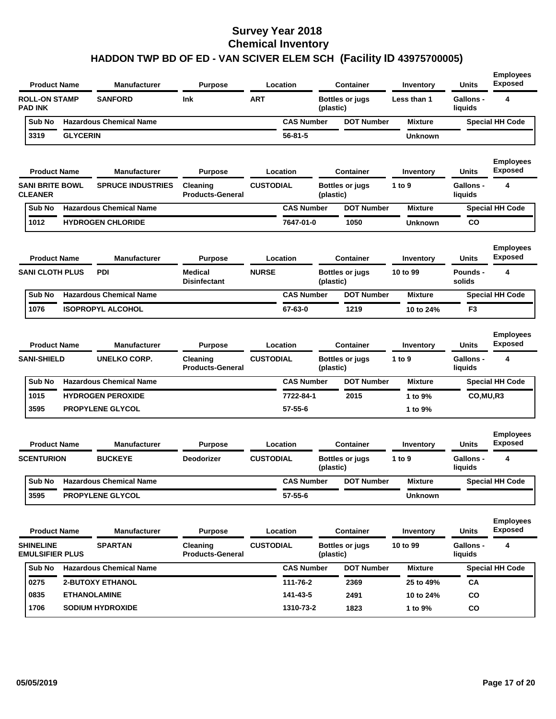|                                            | <b>Product Name</b> | <b>Manufacturer</b>            | <b>Purpose</b>                      |                  | Location          |           | <b>Container</b>       | Inventory      | <b>Units</b>                | <b>Employees</b><br><b>Exposed</b> |
|--------------------------------------------|---------------------|--------------------------------|-------------------------------------|------------------|-------------------|-----------|------------------------|----------------|-----------------------------|------------------------------------|
| <b>ROLL-ON STAMP</b><br><b>PAD INK</b>     |                     | <b>SANFORD</b>                 | <b>Ink</b>                          | <b>ART</b>       |                   | (plastic) | <b>Bottles or jugs</b> | Less than 1    | <b>Gallons -</b><br>liquids | 4                                  |
| Sub No                                     |                     | <b>Hazardous Chemical Name</b> |                                     |                  | <b>CAS Number</b> |           | <b>DOT Number</b>      | <b>Mixture</b> |                             | <b>Special HH Code</b>             |
| 3319                                       | <b>GLYCERIN</b>     |                                |                                     |                  | $56 - 81 - 5$     |           |                        | <b>Unknown</b> |                             |                                    |
|                                            | <b>Product Name</b> | <b>Manufacturer</b>            | <b>Purpose</b>                      |                  | Location          |           | <b>Container</b>       | Inventory      | Units                       | <b>Employees</b><br><b>Exposed</b> |
| <b>SANI BRITE BOWL</b><br><b>CLEANER</b>   |                     | <b>SPRUCE INDUSTRIES</b>       | Cleaning<br><b>Products-General</b> | <b>CUSTODIAL</b> |                   | (plastic) | <b>Bottles or jugs</b> | 1 to 9         | <b>Gallons -</b><br>liquids | 4                                  |
| Sub No                                     |                     | <b>Hazardous Chemical Name</b> |                                     |                  | <b>CAS Number</b> |           | <b>DOT Number</b>      | <b>Mixture</b> |                             | <b>Special HH Code</b>             |
| 1012                                       |                     | <b>HYDROGEN CHLORIDE</b>       |                                     |                  | 7647-01-0         |           | 1050                   | <b>Unknown</b> | CO                          |                                    |
|                                            | <b>Product Name</b> | <b>Manufacturer</b>            | <b>Purpose</b>                      |                  | Location          |           | <b>Container</b>       | Inventory      | Units                       | <b>Employees</b><br><b>Exposed</b> |
| <b>SANI CLOTH PLUS</b>                     |                     | <b>PDI</b>                     | <b>Medical</b><br>Disinfectant      | <b>NURSE</b>     |                   | (plastic) | <b>Bottles or jugs</b> | 10 to 99       | Pounds -<br>solids          | 4                                  |
| Sub No                                     |                     | <b>Hazardous Chemical Name</b> |                                     |                  | <b>CAS Number</b> |           | <b>DOT Number</b>      | <b>Mixture</b> |                             | <b>Special HH Code</b>             |
| 1076                                       |                     | <b>ISOPROPYL ALCOHOL</b>       |                                     |                  | 67-63-0           |           | 1219                   | 10 to 24%      | F <sub>3</sub>              |                                    |
|                                            | <b>Product Name</b> | <b>Manufacturer</b>            | <b>Purpose</b>                      |                  | Location          |           | <b>Container</b>       | Inventory      | Units                       | <b>Employees</b><br><b>Exposed</b> |
| <b>SANI-SHIELD</b>                         |                     | <b>UNELKO CORP.</b>            | Cleaning<br><b>Products-General</b> | <b>CUSTODIAL</b> |                   | (plastic) | <b>Bottles or jugs</b> | 1 to 9         | <b>Gallons -</b><br>liquids | 4                                  |
| Sub No                                     |                     | <b>Hazardous Chemical Name</b> |                                     |                  | <b>CAS Number</b> |           | <b>DOT Number</b>      | <b>Mixture</b> |                             | <b>Special HH Code</b>             |
| 1015                                       |                     | <b>HYDROGEN PEROXIDE</b>       |                                     |                  | 7722-84-1         |           | 2015                   | 1 to 9%        | CO, MU, R3                  |                                    |
| 3595                                       |                     | <b>PROPYLENE GLYCOL</b>        |                                     |                  | 57-55-6           |           |                        | 1 to 9%        |                             |                                    |
|                                            | <b>Product Name</b> | <b>Manufacturer</b>            | <b>Purpose</b>                      |                  | Location          |           | <b>Container</b>       | Inventory      | Units                       | <b>Employees</b><br><b>Exposed</b> |
| <b>SCENTURION</b>                          |                     | <b>BUCKEYE</b>                 | Deodorizer                          | <b>CUSTODIAL</b> |                   | (plastic) | <b>Bottles or jugs</b> | 1 to 9         | Gallons -<br>liquids        | 4                                  |
| Sub No                                     |                     | <b>Hazardous Chemical Name</b> |                                     |                  | <b>CAS Number</b> |           | <b>DOT Number</b>      | <b>Mixture</b> |                             | <b>Special HH Code</b>             |
| 3595                                       |                     | PROPYLENE GLYCOL               |                                     |                  | $57 - 55 - 6$     |           |                        | <b>Unknown</b> |                             |                                    |
|                                            | <b>Product Name</b> | <b>Manufacturer</b>            | <b>Purpose</b>                      |                  | Location          |           | <b>Container</b>       | Inventory      | Units                       | <b>Employees</b><br><b>Exposed</b> |
| <b>SHINELINE</b><br><b>EMULSIFIER PLUS</b> |                     | <b>SPARTAN</b>                 | Cleaning<br><b>Products-General</b> | <b>CUSTODIAL</b> |                   | (plastic) | <b>Bottles or jugs</b> | 10 to 99       | <b>Gallons -</b><br>liquids | 4                                  |
| Sub No                                     |                     | <b>Hazardous Chemical Name</b> |                                     |                  | <b>CAS Number</b> |           | <b>DOT Number</b>      | <b>Mixture</b> |                             | <b>Special HH Code</b>             |
| 0275                                       |                     | <b>2-BUTOXY ETHANOL</b>        |                                     |                  | 111-76-2          |           | 2369                   | 25 to 49%      | СA                          |                                    |
| 0835                                       |                     | <b>ETHANOLAMINE</b>            |                                     |                  | 141-43-5          |           | 2491                   | 10 to 24%      | CO                          |                                    |
| 1706                                       |                     | <b>SODIUM HYDROXIDE</b>        |                                     |                  | 1310-73-2         |           | 1823                   | 1 to 9%        | CO                          |                                    |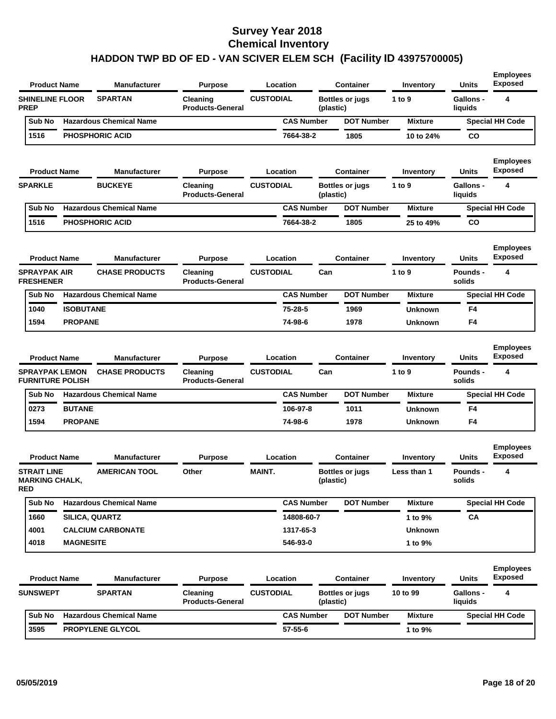| <b>Product Name</b>                                                     |                  | Manufacturer                                 | <b>Purpose</b>                                        |                  | Location          |           | <b>Container</b>       | Inventory           | <b>Units</b>                       | <b>Employees</b><br><b>Exposed</b>      |
|-------------------------------------------------------------------------|------------------|----------------------------------------------|-------------------------------------------------------|------------------|-------------------|-----------|------------------------|---------------------|------------------------------------|-----------------------------------------|
| <b>SHINELINE FLOOR</b><br><b>PREP</b>                                   |                  | <b>SPARTAN</b>                               | Cleaning<br><b>Products-General</b>                   | <b>CUSTODIAL</b> |                   | (plastic) | <b>Bottles or jugs</b> | 1 to 9              | <b>Gallons -</b><br>liquids        | 4                                       |
| Sub No                                                                  |                  | <b>Hazardous Chemical Name</b>               |                                                       |                  | <b>CAS Number</b> |           | <b>DOT Number</b>      | <b>Mixture</b>      |                                    | <b>Special HH Code</b>                  |
| 1516                                                                    |                  | <b>PHOSPHORIC ACID</b>                       |                                                       |                  | 7664-38-2         |           | 1805                   | 10 to 24%           | CO                                 |                                         |
| <b>Product Name</b>                                                     |                  | <b>Manufacturer</b>                          | <b>Purpose</b>                                        |                  | Location          |           | <b>Container</b>       | Inventory           | Units                              | <b>Employees</b><br><b>Exposed</b>      |
| <b>SPARKLE</b>                                                          |                  | <b>BUCKEYE</b>                               | Cleaning<br><b>Products-General</b>                   | <b>CUSTODIAL</b> |                   | (plastic) | <b>Bottles or jugs</b> | 1 to 9              | <b>Gallons -</b><br>liquids        | 4                                       |
| Sub No                                                                  |                  | <b>Hazardous Chemical Name</b>               |                                                       |                  | <b>CAS Number</b> |           | <b>DOT Number</b>      | <b>Mixture</b>      |                                    | <b>Special HH Code</b>                  |
| 1516                                                                    |                  | <b>PHOSPHORIC ACID</b>                       |                                                       |                  | 7664-38-2         |           | 1805                   | 25 to 49%           | CO                                 |                                         |
| <b>Product Name</b>                                                     |                  | <b>Manufacturer</b>                          | <b>Purpose</b>                                        |                  | Location          |           | Container              | Inventory           | Units                              | <b>Employees</b><br><b>Exposed</b>      |
| <b>SPRAYPAK AIR</b><br><b>FRESHENER</b>                                 |                  | <b>CHASE PRODUCTS</b>                        | Cleaning<br><b>Products-General</b>                   | <b>CUSTODIAL</b> |                   | Can       |                        | 1 to 9              | Pounds -<br>solids                 | 4                                       |
| Sub No                                                                  |                  | <b>Hazardous Chemical Name</b>               |                                                       |                  | <b>CAS Number</b> |           | <b>DOT Number</b>      | <b>Mixture</b>      |                                    | <b>Special HH Code</b>                  |
| 1040                                                                    | <b>ISOBUTANE</b> |                                              |                                                       |                  | 75-28-5           |           | 1969                   | <b>Unknown</b>      | F4                                 |                                         |
| 1594                                                                    | <b>PROPANE</b>   |                                              |                                                       |                  | 74-98-6           |           | 1978                   | <b>Unknown</b>      | F4                                 |                                         |
| <b>Product Name</b><br><b>SPRAYPAK LEMON</b><br><b>FURNITURE POLISH</b> |                  | <b>Manufacturer</b><br><b>CHASE PRODUCTS</b> | <b>Purpose</b><br>Cleaning<br><b>Products-General</b> | <b>CUSTODIAL</b> | Location          | Can       | <b>Container</b>       | Inventory<br>1 to 9 | <b>Units</b><br>Pounds -<br>solids | <b>Employees</b><br><b>Exposed</b><br>4 |
| Sub No                                                                  |                  | <b>Hazardous Chemical Name</b>               |                                                       |                  | <b>CAS Number</b> |           | <b>DOT Number</b>      | <b>Mixture</b>      |                                    | <b>Special HH Code</b>                  |
| 0273                                                                    | <b>BUTANE</b>    |                                              |                                                       |                  | 106-97-8          |           | 1011                   | <b>Unknown</b>      | F4                                 |                                         |
| 1594                                                                    | <b>PROPANE</b>   |                                              |                                                       |                  | 74-98-6           |           | 1978                   | <b>Unknown</b>      | F4                                 |                                         |
| <b>Product Name</b>                                                     |                  | Manufacturer                                 | <b>Purpose</b>                                        |                  | Location          |           | Container              | Inventory           | Units                              | <b>Employees</b><br><b>Exposed</b>      |
| STRAIT LINE<br><b>MARKING CHALK,</b><br>RED                             |                  | <b>AMERICAN TOOL</b>                         | Other                                                 | <b>MAINT.</b>    |                   | (plastic) | Bottles or jugs        | Less than 1         | <b>Pounds -</b><br>solias          | 4                                       |
| Sub No                                                                  |                  | <b>Hazardous Chemical Name</b>               |                                                       |                  | <b>CAS Number</b> |           | <b>DOT Number</b>      | <b>Mixture</b>      |                                    | <b>Special HH Code</b>                  |
| 1660                                                                    | SILICA, QUARTZ   |                                              |                                                       |                  | 14808-60-7        |           |                        | 1 to 9%             | CA                                 |                                         |
| 4001                                                                    |                  | <b>CALCIUM CARBONATE</b>                     |                                                       |                  | 1317-65-3         |           |                        | <b>Unknown</b>      |                                    |                                         |
| 4018                                                                    | <b>MAGNESITE</b> |                                              |                                                       |                  | 546-93-0          |           |                        | 1 to 9%             |                                    |                                         |
| <b>Product Name</b>                                                     |                  | Manufacturer                                 | <b>Purpose</b>                                        |                  | Location          |           | Container              | Inventory           | Units                              | <b>Employees</b><br><b>Exposed</b>      |
| <b>SUNSWEPT</b>                                                         |                  | <b>SPARTAN</b>                               | Cleaning<br><b>Products-General</b>                   | <b>CUSTODIAL</b> |                   | (plastic) | <b>Bottles or jugs</b> | 10 to 99            | Gallons -<br>liquids               | 4                                       |
| Sub No                                                                  |                  | <b>Hazardous Chemical Name</b>               |                                                       |                  | <b>CAS Number</b> |           | <b>DOT Number</b>      | <b>Mixture</b>      |                                    | <b>Special HH Code</b>                  |
| 3595                                                                    |                  | PROPYLENE GLYCOL                             |                                                       |                  | $57 - 55 - 6$     |           |                        | 1 to 9%             |                                    |                                         |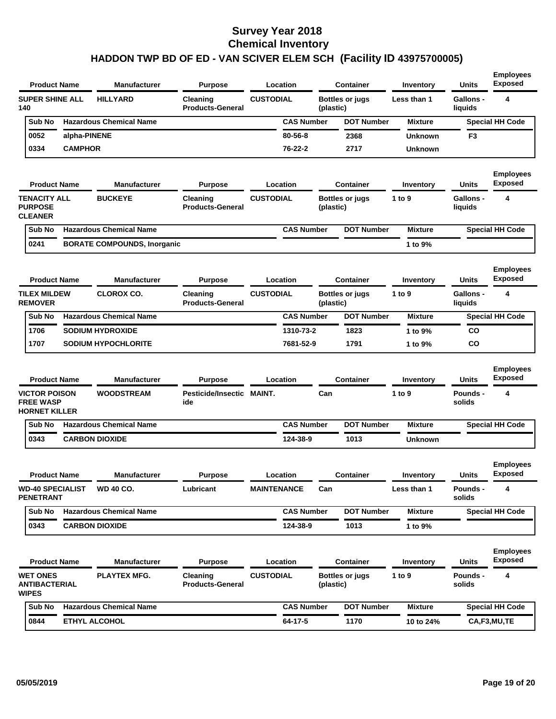| <b>Product Name</b>                                              |                | <b>Manufacturer</b>                | <b>Purpose</b>                      | Location           |           | <b>Container</b>       | Inventory      | <b>Units</b>                | <b>Employees</b><br><b>Exposed</b> |
|------------------------------------------------------------------|----------------|------------------------------------|-------------------------------------|--------------------|-----------|------------------------|----------------|-----------------------------|------------------------------------|
| <b>SUPER SHINE ALL</b><br>140                                    |                | <b>HILLYARD</b>                    | Cleaning<br><b>Products-General</b> | <b>CUSTODIAL</b>   | (plastic) | <b>Bottles or jugs</b> | Less than 1    | <b>Gallons -</b><br>liquids | 4                                  |
| Sub No                                                           |                | <b>Hazardous Chemical Name</b>     |                                     | <b>CAS Number</b>  |           | <b>DOT Number</b>      | <b>Mixture</b> |                             | <b>Special HH Code</b>             |
| 0052                                                             | alpha-PINENE   |                                    |                                     | 80-56-8            |           | 2368                   | <b>Unknown</b> | F <sub>3</sub>              |                                    |
| 0334                                                             | <b>CAMPHOR</b> |                                    |                                     | 76-22-2            |           | 2717                   | <b>Unknown</b> |                             |                                    |
| <b>Product Name</b>                                              |                | <b>Manufacturer</b>                | <b>Purpose</b>                      | Location           |           | <b>Container</b>       | Inventory      | <b>Units</b>                | <b>Employees</b><br><b>Exposed</b> |
| <b>TENACITY ALL</b><br><b>PURPOSE</b><br><b>CLEANER</b>          |                | <b>BUCKEYE</b>                     | Cleaning<br><b>Products-General</b> | <b>CUSTODIAL</b>   | (plastic) | <b>Bottles or jugs</b> | 1 to 9         | Gallons -<br>liquids        | 4                                  |
| Sub No                                                           |                | <b>Hazardous Chemical Name</b>     |                                     | <b>CAS Number</b>  |           | <b>DOT Number</b>      | <b>Mixture</b> |                             | <b>Special HH Code</b>             |
| 0241                                                             |                | <b>BORATE COMPOUNDS, Inorganic</b> |                                     |                    |           |                        | 1 to 9%        |                             |                                    |
| <b>Product Name</b>                                              |                | <b>Manufacturer</b>                | <b>Purpose</b>                      | Location           |           | <b>Container</b>       | Inventory      | Units                       | <b>Employees</b><br><b>Exposed</b> |
| <b>TILEX MILDEW</b><br><b>REMOVER</b>                            |                | <b>CLOROX CO.</b>                  | Cleaning<br><b>Products-General</b> | <b>CUSTODIAL</b>   | (plastic) | <b>Bottles or jugs</b> | 1 to 9         | Gallons -<br>liquids        | 4                                  |
| Sub No                                                           |                | <b>Hazardous Chemical Name</b>     |                                     | <b>CAS Number</b>  |           | <b>DOT Number</b>      | <b>Mixture</b> |                             | <b>Special HH Code</b>             |
| 1706                                                             |                | <b>SODIUM HYDROXIDE</b>            |                                     | 1310-73-2          |           | 1823                   | 1 to 9%        | CO                          |                                    |
| 1707                                                             |                | <b>SODIUM HYPOCHLORITE</b>         |                                     | 7681-52-9          |           | 1791                   | 1 to 9%        | CO                          |                                    |
| <b>Product Name</b>                                              |                | <b>Manufacturer</b>                | <b>Purpose</b>                      | Location           |           | <b>Container</b>       | Inventory      | Units                       | <b>Employees</b><br><b>Exposed</b> |
| <b>VICTOR POISON</b><br><b>FREE WASP</b><br><b>HORNET KILLER</b> |                | <b>WOODSTREAM</b>                  | Pesticide/Insectic MAINT.<br>ide    |                    | Can       |                        | 1 to 9         | Pounds -<br>solids          | 4                                  |
| Sub No                                                           |                | <b>Hazardous Chemical Name</b>     |                                     | <b>CAS Number</b>  |           | <b>DOT Number</b>      | <b>Mixture</b> |                             | <b>Special HH Code</b>             |
| 0343                                                             |                | <b>CARBON DIOXIDE</b>              |                                     | 124-38-9           |           | 1013                   | <b>Unknown</b> |                             |                                    |
| <b>Product Name</b>                                              |                | <b>Manufacturer</b>                | <b>Purpose</b>                      | Location           |           | <b>Container</b>       | Inventory      | Units                       | <b>Employees</b><br><b>Exposed</b> |
| <b>WD-40 SPECIALIST</b><br><b>PENETRANT</b>                      |                | <b>WD 40 CO.</b>                   | Lubricant                           | <b>MAINTENANCE</b> | Can       |                        | Less than 1    | Pounds -<br>solids          | 4                                  |
| Sub No                                                           |                | <b>Hazardous Chemical Name</b>     |                                     | <b>CAS Number</b>  |           | <b>DOT Number</b>      | <b>Mixture</b> |                             | <b>Special HH Code</b>             |
| 0343                                                             |                | <b>CARBON DIOXIDE</b>              |                                     | 124-38-9           |           | 1013                   | 1 to 9%        |                             |                                    |
| <b>Product Name</b>                                              |                | <b>Manufacturer</b>                | <b>Purpose</b>                      | Location           |           | <b>Container</b>       | Inventory      | Units                       | <b>Employees</b><br><b>Exposed</b> |
| <b>WET ONES</b><br><b>ANTIBACTERIAL</b><br><b>WIPES</b>          |                | <b>PLAYTEX MFG.</b>                | Cleaning<br><b>Products-General</b> | <b>CUSTODIAL</b>   | (plastic) | <b>Bottles or jugs</b> | 1 to 9         | <b>Pounds -</b><br>solids   | 4                                  |
| Sub No                                                           |                | <b>Hazardous Chemical Name</b>     |                                     | <b>CAS Number</b>  |           | <b>DOT Number</b>      | <b>Mixture</b> |                             | <b>Special HH Code</b>             |
| 0844                                                             |                | ETHYL ALCOHOL                      |                                     | $64 - 17 - 5$      |           | 1170                   | 10 to 24%      |                             | CA,F3,MU,TE                        |